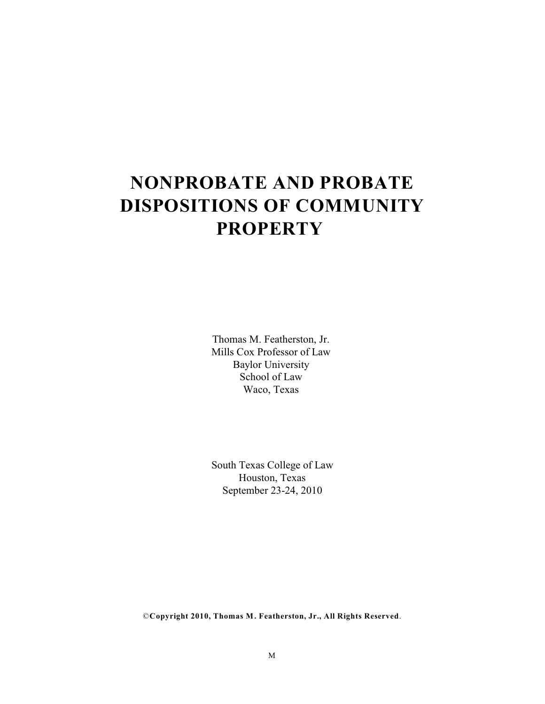# **NONPROBATE AND PROBATE DISPOSITIONS OF COMMUNITY PROPERTY**

Thomas M. Featherston, Jr. Mills Cox Professor of Law Baylor University School of Law Waco, Texas

South Texas College of Law Houston, Texas September 23-24, 2010

©**Copyright 2010, Thomas M. Featherston, Jr., All Rights Reserved**.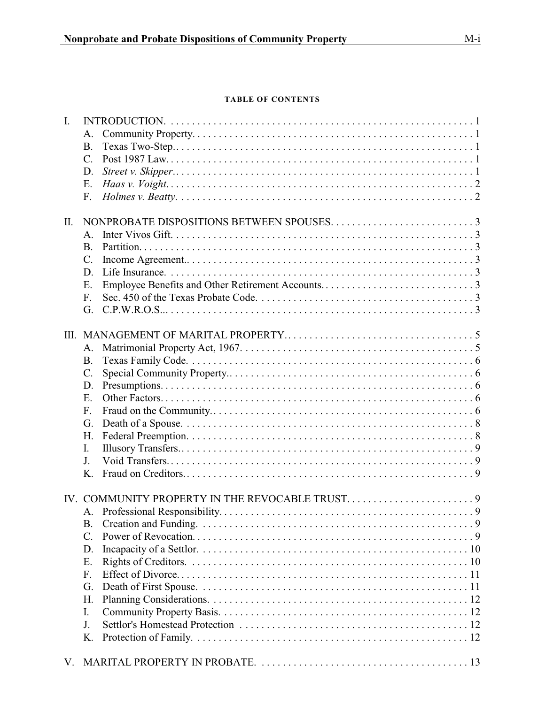# **TABLE OF CONTENTS**

| $\mathbf{I}$ .  |                 |  |  |  |  |
|-----------------|-----------------|--|--|--|--|
|                 | A.              |  |  |  |  |
|                 | <b>B.</b>       |  |  |  |  |
|                 | $C_{\cdot}$     |  |  |  |  |
|                 | D.              |  |  |  |  |
|                 | E.              |  |  |  |  |
|                 | F.              |  |  |  |  |
|                 |                 |  |  |  |  |
| $\mathbf{II}$ . |                 |  |  |  |  |
|                 | $A_{\cdot}$     |  |  |  |  |
|                 | <b>B.</b>       |  |  |  |  |
|                 | C.              |  |  |  |  |
|                 | D.              |  |  |  |  |
|                 | E.              |  |  |  |  |
|                 | F.              |  |  |  |  |
|                 | G.              |  |  |  |  |
|                 |                 |  |  |  |  |
| III.            |                 |  |  |  |  |
|                 | A.              |  |  |  |  |
|                 | <b>B.</b>       |  |  |  |  |
|                 | $\mathcal{C}$ . |  |  |  |  |
|                 | D.              |  |  |  |  |
|                 | E.              |  |  |  |  |
|                 | F.              |  |  |  |  |
|                 | G.              |  |  |  |  |
|                 | H.              |  |  |  |  |
|                 | I.              |  |  |  |  |
|                 | J.              |  |  |  |  |
|                 | $K_{\cdot}$     |  |  |  |  |
|                 |                 |  |  |  |  |
|                 | A.              |  |  |  |  |
|                 | B.              |  |  |  |  |
|                 | C.              |  |  |  |  |
|                 | D.              |  |  |  |  |
|                 | Ε.              |  |  |  |  |
|                 | F.              |  |  |  |  |
|                 | G.              |  |  |  |  |
|                 | Η.              |  |  |  |  |
|                 | I.              |  |  |  |  |
|                 | J.              |  |  |  |  |
|                 | Κ.              |  |  |  |  |
|                 |                 |  |  |  |  |
| V.              |                 |  |  |  |  |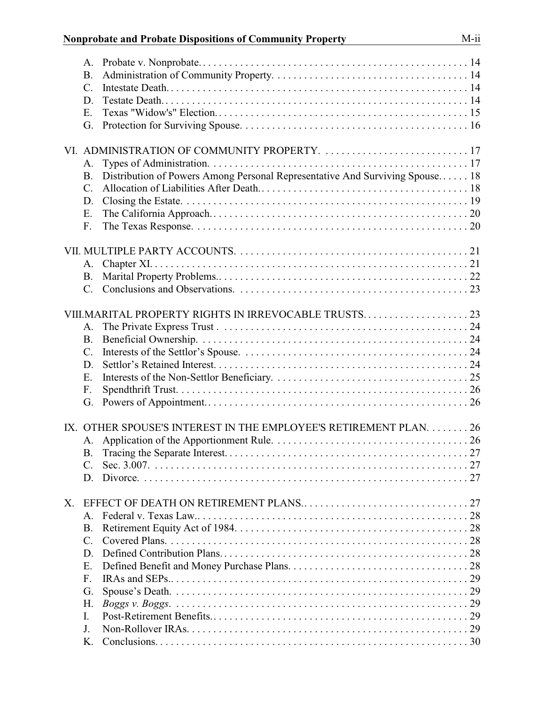|    | A.              |                                                                              |  |
|----|-----------------|------------------------------------------------------------------------------|--|
|    | <b>B.</b>       |                                                                              |  |
|    | $C$ .           |                                                                              |  |
|    | D.              |                                                                              |  |
|    | Ε.              |                                                                              |  |
|    | G.              |                                                                              |  |
|    |                 |                                                                              |  |
|    |                 | VI. ADMINISTRATION OF COMMUNITY PROPERTY.  17                                |  |
|    | A.              |                                                                              |  |
|    | <b>B.</b>       | Distribution of Powers Among Personal Representative And Surviving Spouse 18 |  |
|    |                 |                                                                              |  |
|    | $\mathcal{C}$ . |                                                                              |  |
|    | D.              |                                                                              |  |
|    | E.              |                                                                              |  |
|    | F.              |                                                                              |  |
|    |                 |                                                                              |  |
|    |                 |                                                                              |  |
|    | A.              |                                                                              |  |
|    | B.              |                                                                              |  |
|    | $C_{\cdot}$     |                                                                              |  |
|    |                 |                                                                              |  |
|    |                 | VIII.MARITAL PROPERTY RIGHTS IN IRREVOCABLE TRUSTS 23                        |  |
|    | A.              |                                                                              |  |
|    | <b>B.</b>       |                                                                              |  |
|    | $C$ .           |                                                                              |  |
|    | D.              |                                                                              |  |
|    | E.              |                                                                              |  |
|    |                 |                                                                              |  |
|    | F.              |                                                                              |  |
|    | G.              |                                                                              |  |
|    |                 |                                                                              |  |
|    |                 | IX. OTHER SPOUSE'S INTEREST IN THE EMPLOYEE'S RETIREMENT PLAN. 26            |  |
|    |                 |                                                                              |  |
|    | В.              |                                                                              |  |
|    | $\mathcal{C}$ . |                                                                              |  |
|    | D.              |                                                                              |  |
|    |                 |                                                                              |  |
| X. |                 |                                                                              |  |
|    | $A_{\cdot}$     |                                                                              |  |
|    | <b>B.</b>       |                                                                              |  |
|    | $C_{\cdot}$     |                                                                              |  |
|    | D               |                                                                              |  |
|    | Ε.              |                                                                              |  |
|    | F <sub>r</sub>  |                                                                              |  |
|    |                 |                                                                              |  |
|    | G.              |                                                                              |  |
|    | Н.              |                                                                              |  |
|    | I.              |                                                                              |  |
|    | J.              |                                                                              |  |
|    | K.              |                                                                              |  |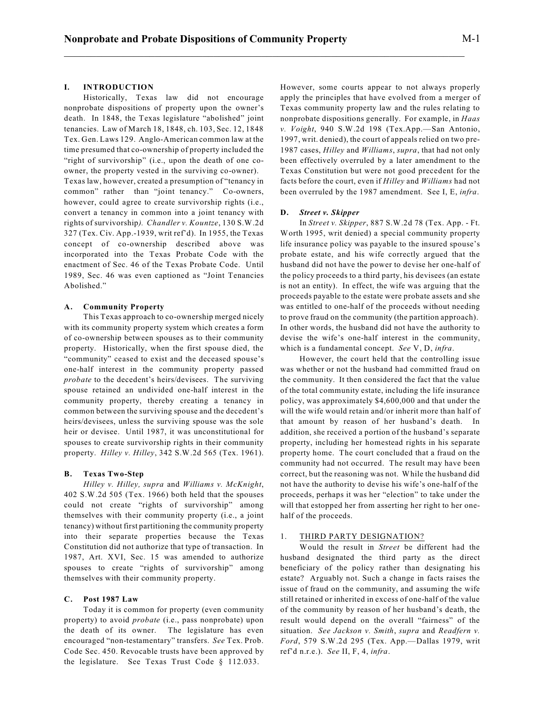# **I. INTRODUCTION**

Historically, Texas law did not encourage nonprobate dispositions of property upon the owner's death. In 1848, the Texas legislature "abolished" joint tenancies. Law of March 18, 1848, ch. 103, Sec. 12, 1848 Tex. Gen. Laws 129. Anglo-American common law at the time presumed that co-ownership of property included the "right of survivorship" (i.e., upon the death of one coowner, the property vested in the surviving co-owner). Texas law, however, created a presumption of "tenancy in common" rather than "joint tenancy." Co-owners, however, could agree to create survivorship rights (i.e., convert a tenancy in common into a joint tenancy with rights of survivorship*). Chandler v. Kountze*, 130 S.W.2d 327 (Tex. Civ. App.-1939, writ ref'd). In 1955, the Texas concept of co-ownership described above was incorporated into the Texas Probate Code with the enactment of Sec. 46 of the Texas Probate Code. Until 1989, Sec. 46 was even captioned as "Joint Tenancies Abolished."

# **A. Community Property**

This Texas approach to co-ownership merged nicely with its community property system which creates a form of co-ownership between spouses as to their community property. Historically, when the first spouse died, the "community" ceased to exist and the deceased spouse's one-half interest in the community property passed *probate* to the decedent's heirs/devisees. The surviving spouse retained an undivided one-half interest in the community property, thereby creating a tenancy in common between the surviving spouse and the decedent's heirs/devisees, unless the surviving spouse was the sole heir or devisee. Until 1987, it was unconstitutional for spouses to create survivorship rights in their community property. *Hilley v. Hilley*, 342 S.W.2d 565 (Tex. 1961).

#### **B. Texas Two-Step**

*Hilley v. Hilley, supra* and *Williams v. McKnight*, 402 S.W.2d 505 (Tex. 1966) both held that the spouses could not create "rights of survivorship" among themselves with their community property (i.e., a joint tenancy) without first partitioning the community property into their separate properties because the Texas Constitution did not authorize that type of transaction. In 1987, Art. XVI, Sec. 15 was amended to authorize spouses to create "rights of survivorship" among themselves with their community property.

## **C. Post 1987 Law**

Today it is common for property (even community property) to avoid *probate* (i.e., pass nonprobate) upon the death of its owner. The legislature has even encouraged "non-testamentary" transfers. *See* Tex. Prob. Code Sec. 450. Revocable trusts have been approved by the legislature. See Texas Trust Code § 112.033.

However, some courts appear to not always properly apply the principles that have evolved from a merger of Texas community property law and the rules relating to nonprobate dispositions generally. For example, in *Haas v. Voight*, 940 S.W.2d 198 (Tex.App.—San Antonio, 1997, writ. denied), the court of appeals relied on two pre-1987 cases, *Hilley* and *Williams*, *supra*, that had not only been effectively overruled by a later amendment to the Texas Constitution but were not good precedent for the facts before the court, even if *Hilley* and *Williams* had not been overruled by the 1987 amendment. See I, E, *infra*.

#### **D.** *Street v. Skipper*

In *Street v. Skipper*, 887 S.W.2d 78 (Tex. App. - Ft. Worth 1995, writ denied) a special community property life insurance policy was payable to the insured spouse's probate estate, and his wife correctly argued that the husband did not have the power to devise her one-half of the policy proceeds to a third party, his devisees (an estate is not an entity). In effect, the wife was arguing that the proceeds payable to the estate were probate assets and she was entitled to one-half of the proceeds without needing to prove fraud on the community (the partition approach). In other words, the husband did not have the authority to devise the wife's one-half interest in the community, which is a fundamental concept. *See* V, D, *infra*.

However, the court held that the controlling issue was whether or not the husband had committed fraud on the community. It then considered the fact that the value of the total community estate, including the life insurance policy, was approximately \$4,600,000 and that under the will the wife would retain and/or inherit more than half of that amount by reason of her husband's death. In addition, she received a portion of the husband's separate property, including her homestead rights in his separate property home. The court concluded that a fraud on the community had not occurred. The result may have been correct, but the reasoning was not. While the husband did not have the authority to devise his wife's one-half of the proceeds, perhaps it was her "election" to take under the will that estopped her from asserting her right to her onehalf of the proceeds.

## 1. THIRD PARTY DESIGNATION?

Would the result in *Street* be different had the husband designated the third party as the direct beneficiary of the policy rather than designating his estate? Arguably not. Such a change in facts raises the issue of fraud on the community, and assuming the wife still retained or inherited in excess of one-half of the value of the community by reason of her husband's death, the result would depend on the overall "fairness" of the situation. *See Jackson v. Smith*, *supra* and *Readfern v. Ford*, 579 S.W.2d 295 (Tex. App.—Dallas 1979, writ ref'd n.r.e.). *See* II, F, 4, *infra*.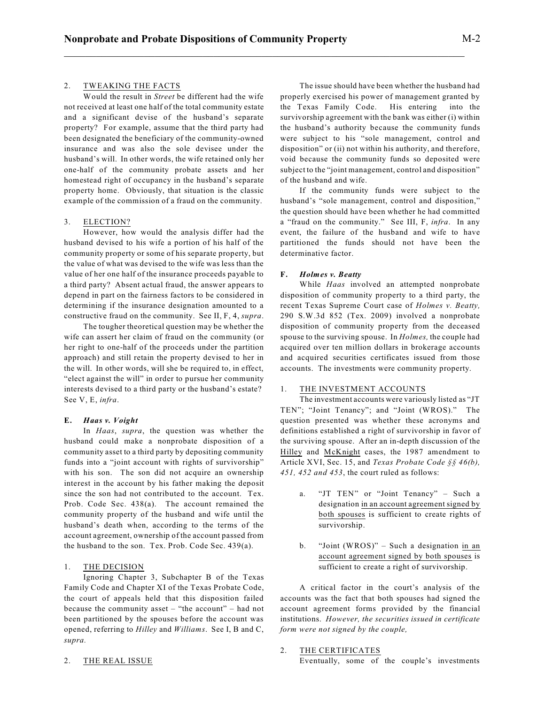## 2. TWEAKING THE FACTS

Would the result in *Street* be different had the wife not received at least one half of the total community estate and a significant devise of the husband's separate property? For example, assume that the third party had been designated the beneficiary of the community-owned insurance and was also the sole devisee under the husband's will. In other words, the wife retained only her one-half of the community probate assets and her homestead right of occupancy in the husband's separate property home. Obviously, that situation is the classic example of the commission of a fraud on the community.

## 3. ELECTION?

However, how would the analysis differ had the husband devised to his wife a portion of his half of the community property or some of his separate property, but the value of what was devised to the wife was less than the value of her one half of the insurance proceeds payable to a third party? Absent actual fraud, the answer appears to depend in part on the fairness factors to be considered in determining if the insurance designation amounted to a constructive fraud on the community. See II, F, 4, *supra*.

The tougher theoretical question may be whether the wife can assert her claim of fraud on the community (or her right to one-half of the proceeds under the partition approach) and still retain the property devised to her in the will. In other words, will she be required to, in effect, "elect against the will" in order to pursue her community interests devised to a third party or the husband's estate? See V, E, *infra*.

## **E.** *Haas v. Voight*

In *Haas*, *supra*, the question was whether the husband could make a nonprobate disposition of a community asset to a third party by depositing community funds into a "joint account with rights of survivorship" with his son. The son did not acquire an ownership interest in the account by his father making the deposit since the son had not contributed to the account. Tex. Prob. Code Sec. 438(a). The account remained the community property of the husband and wife until the husband's death when, according to the terms of the account agreement, ownership of the account passed from the husband to the son. Tex. Prob. Code Sec. 439(a).

# 1. THE DECISION

Ignoring Chapter 3, Subchapter B of the Texas Family Code and Chapter XI of the Texas Probate Code, the court of appeals held that this disposition failed because the community asset – "the account" – had not been partitioned by the spouses before the account was opened, referring to *Hilley* and *Williams*. See I, B and C, *supra.*

The issue should have been whether the husband had properly exercised his power of management granted by the Texas Family Code. His entering into the survivorship agreement with the bank was either (i) within the husband's authority because the community funds were subject to his "sole management, control and disposition" or (ii) not within his authority, and therefore, void because the community funds so deposited were subject to the "joint management, control and disposition" of the husband and wife.

If the community funds were subject to the husband's "sole management, control and disposition," the question should have been whether he had committed a "fraud on the community." See III, F, *infra*. In any event, the failure of the husband and wife to have partitioned the funds should not have been the determinative factor.

#### **F.** *Holmes v. Beatty*

While *Haas* involved an attempted nonprobate disposition of community property to a third party, the recent Texas Supreme Court case of *Holmes v. Beatty,* 290 S.W.3d 852 (Tex. 2009) involved a nonprobate disposition of community property from the deceased spouse to the surviving spouse. In *Holmes,* the couple had acquired over ten million dollars in brokerage accounts and acquired securities certificates issued from those accounts. The investments were community property.

#### 1. THE INVESTMENT ACCOUNTS

The investment accounts were variously listed as "JT TEN"; "Joint Tenancy"; and "Joint (WROS)." The question presented was whether these acronyms and definitions established a right of survivorship in favor of the surviving spouse. After an in-depth discussion of the Hilley and McKnight cases, the 1987 amendment to Article XVI, Sec. 15, and *Texas Probate Code §§ 46(b), 451, 452 and 453*, the court ruled as follows:

- a. "JT TEN" or "Joint Tenancy" Such a designation in an account agreement signed by both spouses is sufficient to create rights of survivorship.
- b. "Joint (WROS)" Such a designation in an account agreement signed by both spouses is sufficient to create a right of survivorship.

A critical factor in the court's analysis of the accounts was the fact that both spouses had signed the account agreement forms provided by the financial institutions. *However, the securities issued in certificate form were not signed by the couple,*

## 2. THE CERTIFICATES

Eventually, some of the couple's investments

#### 2. THE REAL ISSUE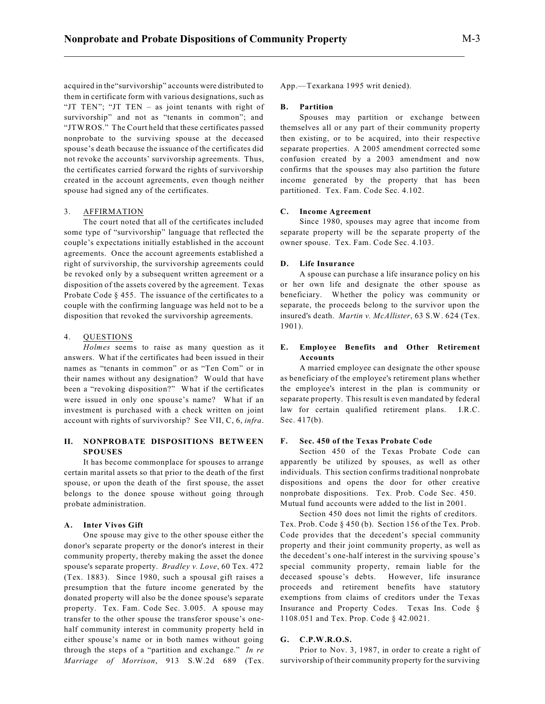acquired in the"survivorship" accounts were distributed to them in certificate form with various designations, such as "JT TEN"; "JT TEN – as joint tenants with right of survivorship" and not as "tenants in common"; and "JTWROS." The Court held that these certificates passed nonprobate to the surviving spouse at the deceased spouse's death because the issuance of the certificates did not revoke the accounts' survivorship agreements. Thus, the certificates carried forward the rights of survivorship created in the account agreements, even though neither spouse had signed any of the certificates.

## 3. AFFIRMATION

The court noted that all of the certificates included some type of "survivorship" language that reflected the couple's expectations initially established in the account agreements. Once the account agreements established a right of survivorship, the survivorship agreements could be revoked only by a subsequent written agreement or a disposition of the assets covered by the agreement. Texas Probate Code § 455. The issuance of the certificates to a couple with the confirming language was held not to be a disposition that revoked the survivorship agreements.

## 4. QUESTIONS

*Holmes* seems to raise as many question as it answers. What if the certificates had been issued in their names as "tenants in common" or as "Ten Com" or in their names without any designation? Would that have been a "revoking disposition?" What if the certificates were issued in only one spouse's name? What if an investment is purchased with a check written on joint account with rights of survivorship? See VII, C, 6, *infra*.

# **II. NONPROBATE DISPOSITIONS BETWEEN SPOUSES**

It has become commonplace for spouses to arrange certain marital assets so that prior to the death of the first spouse, or upon the death of the first spouse, the asset belongs to the donee spouse without going through probate administration.

#### **A. Inter Vivos Gift**

One spouse may give to the other spouse either the donor's separate property or the donor's interest in their community property, thereby making the asset the donee spouse's separate property. *Bradley v. Love*, 60 Tex. 472 (Tex. 1883). Since 1980, such a spousal gift raises a presumption that the future income generated by the donated property will also be the donee spouse's separate property. Tex. Fam. Code Sec. 3.005. A spouse may transfer to the other spouse the transferor spouse's onehalf community interest in community property held in either spouse's name or in both names without going through the steps of a "partition and exchange." *In re Marriage of Morrison*, 913 S.W.2d 689 (Tex. App.—Texarkana 1995 writ denied).

#### **B. Partition**

\_\_\_\_\_\_\_\_\_\_\_\_\_\_\_\_\_\_\_\_\_\_\_\_\_\_\_\_\_\_\_\_\_\_\_\_\_\_\_\_\_\_\_\_\_\_\_\_\_\_\_\_\_\_\_\_\_\_\_\_\_\_\_\_\_\_\_\_\_\_\_\_\_\_\_

Spouses may partition or exchange between themselves all or any part of their community property then existing, or to be acquired, into their respective separate properties. A 2005 amendment corrected some confusion created by a 2003 amendment and now confirms that the spouses may also partition the future income generated by the property that has been partitioned. Tex. Fam. Code Sec. 4.102.

#### **C. Income Agreement**

Since 1980, spouses may agree that income from separate property will be the separate property of the owner spouse. Tex. Fam. Code Sec. 4.103.

## **D. Life Insurance**

A spouse can purchase a life insurance policy on his or her own life and designate the other spouse as beneficiary. Whether the policy was community or separate, the proceeds belong to the survivor upon the insured's death. *Martin v. McAllister*, 63 S.W. 624 (Tex. 1901).

# **E. Employee Benefits and Other Retirement Accounts**

A married employee can designate the other spouse as beneficiary of the employee's retirement plans whether the employee's interest in the plan is community or separate property. This result is even mandated by federal law for certain qualified retirement plans. I.R.C. Sec. 417(b).

# **F. Sec. 450 of the Texas Probate Code**

Section 450 of the Texas Probate Code can apparently be utilized by spouses, as well as other individuals. This section confirms traditional nonprobate dispositions and opens the door for other creative nonprobate dispositions. Tex. Prob. Code Sec. 450. Mutual fund accounts were added to the list in 2001.

Section 450 does not limit the rights of creditors. Tex. Prob. Code § 450 (b). Section 156 of the Tex. Prob. Code provides that the decedent's special community property and their joint community property, as well as the decedent's one-half interest in the surviving spouse's special community property, remain liable for the deceased spouse's debts. However, life insurance proceeds and retirement benefits have statutory exemptions from claims of creditors under the Texas Insurance and Property Codes. Texas Ins. Code § 1108.051 and Tex. Prop. Code § 42.0021.

# **G. C.P.W.R.O.S.**

Prior to Nov. 3, 1987, in order to create a right of survivorship of their community property for the surviving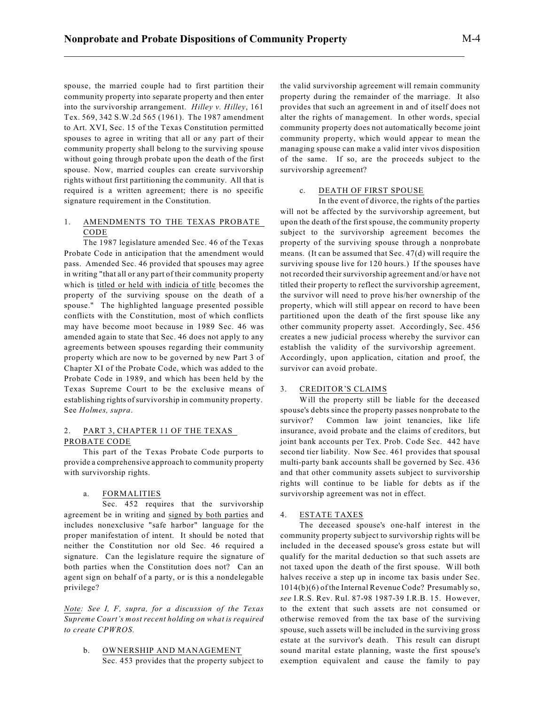spouse, the married couple had to first partition their community property into separate property and then enter into the survivorship arrangement. *Hilley v. Hilley*, 161 Tex. 569, 342 S.W.2d 565 (1961). The 1987 amendment to Art. XVI, Sec. 15 of the Texas Constitution permitted spouses to agree in writing that all or any part of their community property shall belong to the surviving spouse without going through probate upon the death of the first spouse. Now, married couples can create survivorship rights without first partitioning the community. All that is required is a written agreement; there is no specific signature requirement in the Constitution.

# 1. AMENDMENTS TO THE TEXAS PROBATE CODE

The 1987 legislature amended Sec. 46 of the Texas Probate Code in anticipation that the amendment would pass. Amended Sec. 46 provided that spouses may agree in writing "that all or any part of their community property which is titled or held with indicia of title becomes the property of the surviving spouse on the death of a spouse." The highlighted language presented possible conflicts with the Constitution, most of which conflicts may have become moot because in 1989 Sec. 46 was amended again to state that Sec. 46 does not apply to any agreements between spouses regarding their community property which are now to be governed by new Part 3 of Chapter XI of the Probate Code, which was added to the Probate Code in 1989, and which has been held by the Texas Supreme Court to be the exclusive means of establishing rights of survivorship in community property. See *Holmes, supra*.

# 2. PART 3, CHAPTER 11 OF THE TEXAS PROBATE CODE

This part of the Texas Probate Code purports to provide a comprehensive approach to community property with survivorship rights.

## a. FORMALITIES

Sec. 452 requires that the survivorship agreement be in writing and signed by both parties and includes nonexclusive "safe harbor" language for the proper manifestation of intent. It should be noted that neither the Constitution nor old Sec. 46 required a signature. Can the legislature require the signature of both parties when the Constitution does not? Can an agent sign on behalf of a party, or is this a nondelegable privilege?

*Note: See I, F, supra, for a discussion of the Texas Supreme Court's most recent holding on what is required to create CPWROS.*

b. OWNERSHIP AND MANAGEMENT Sec. 453 provides that the property subject to the valid survivorship agreement will remain community property during the remainder of the marriage. It also provides that such an agreement in and of itself does not alter the rights of management. In other words, special community property does not automatically become joint community property, which would appear to mean the managing spouse can make a valid inter vivos disposition of the same. If so, are the proceeds subject to the survivorship agreement?

# c. DEATH OF FIRST SPOUSE

In the event of divorce, the rights of the parties will not be affected by the survivorship agreement, but upon the death of the first spouse, the community property subject to the survivorship agreement becomes the property of the surviving spouse through a nonprobate means. (It can be assumed that Sec. 47(d) will require the surviving spouse live for 120 hours.) If the spouses have not recorded their survivorship agreement and/or have not titled their property to reflect the survivorship agreement, the survivor will need to prove his/her ownership of the property, which will still appear on record to have been partitioned upon the death of the first spouse like any other community property asset. Accordingly, Sec. 456 creates a new judicial process whereby the survivor can establish the validity of the survivorship agreement. Accordingly, upon application, citation and proof, the survivor can avoid probate.

## 3. CREDITOR'S CLAIMS

Will the property still be liable for the deceased spouse's debts since the property passes nonprobate to the survivor? Common law joint tenancies, like life insurance, avoid probate and the claims of creditors, but joint bank accounts per Tex. Prob. Code Sec. 442 have second tier liability. Now Sec. 461 provides that spousal multi-party bank accounts shall be governed by Sec. 436 and that other community assets subject to survivorship rights will continue to be liable for debts as if the survivorship agreement was not in effect.

# 4. ESTATE TAXES

The deceased spouse's one-half interest in the community property subject to survivorship rights will be included in the deceased spouse's gross estate but will qualify for the marital deduction so that such assets are not taxed upon the death of the first spouse. Will both halves receive a step up in income tax basis under Sec. 1014(b)(6) of the Internal Revenue Code? Presumably so, *see* I.R.S. Rev. Rul. 87-98 1987-39 I.R.B. 15. However, to the extent that such assets are not consumed or otherwise removed from the tax base of the surviving spouse, such assets will be included in the surviving gross estate at the survivor's death. This result can disrupt sound marital estate planning, waste the first spouse's exemption equivalent and cause the family to pay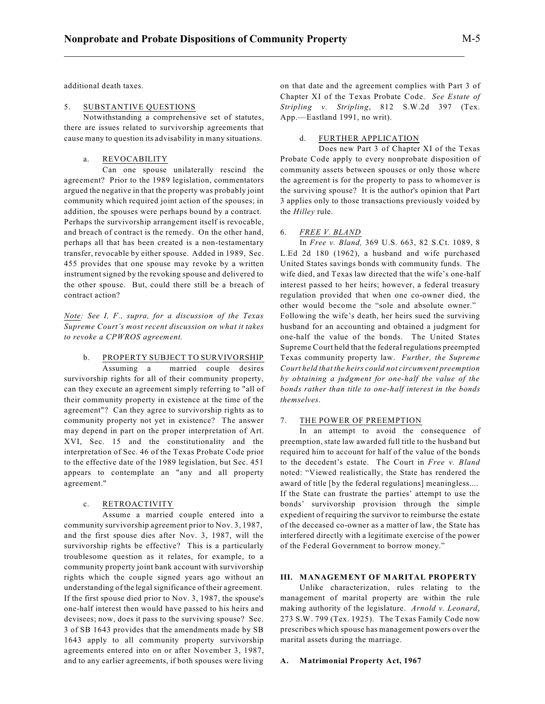additional death taxes.

# 5. SUBSTANTIVE QUESTIONS

Notwithstanding a comprehensive set of statutes, there are issues related to survivorship agreements that cause many to question its advisability in many situations.

## a. REVOCABILITY

Can one spouse unilaterally rescind the agreement? Prior to the 1989 legislation, commentators argued the negative in that the property was probably joint community which required joint action of the spouses; in addition, the spouses were perhaps bound by a contract. Perhaps the survivorship arrangement itself is revocable, and breach of contract is the remedy. On the other hand, perhaps all that has been created is a non-testamentary transfer, revocable by either spouse. Added in 1989, Sec. 455 provides that one spouse may revoke by a written instrument signed by the revoking spouse and delivered to the other spouse. But, could there still be a breach of contract action?

*Note: See I, F., supra, for a discussion of the Texas Supreme Court's most recent discussion on what it takes to revoke a CPWROS agreement.*

b. PROPERTY SUBJECT TO SURVIVORSHIP Assuming a married couple desires survivorship rights for all of their community property, can they execute an agreement simply referring to "all of their community property in existence at the time of the agreement"? Can they agree to survivorship rights as to community property not yet in existence? The answer may depend in part on the proper interpretation of Art. XVI, Sec. 15 and the constitutionality and the interpretation of Sec. 46 of the Texas Probate Code prior to the effective date of the 1989 legislation, but Sec. 451 appears to contemplate an "any and all property agreement."

#### c. RETROACTIVITY

Assume a married couple entered into a community survivorship agreement prior to Nov. 3, 1987, and the first spouse dies after Nov. 3, 1987, will the survivorship rights be effective? This is a particularly troublesome question as it relates, for example, to a community property joint bank account with survivorship rights which the couple signed years ago without an understanding of the legalsignificance of their agreement. If the first spouse died prior to Nov. 3, 1987, the spouse's one-half interest then would have passed to his heirs and devisees; now, does it pass to the surviving spouse? Sec. 3 of SB 1643 provides that the amendments made by SB 1643 apply to all community property survivorship agreements entered into on or after November 3, 1987, and to any earlier agreements, if both spouses were living on that date and the agreement complies with Part 3 of Chapter XI of the Texas Probate Code. *See Estate of Stripling v. Stripling*, 812 S.W.2d 397 (Tex. App.—Eastland 1991, no writ).

## d. FURTHER APPLICATION

Does new Part 3 of Chapter XI of the Texas Probate Code apply to every nonprobate disposition of community assets between spouses or only those where the agreement is for the property to pass to whomever is the surviving spouse? It is the author's opinion that Part 3 applies only to those transactions previously voided by the *Hilley* rule.

## 6. *FREE V. BLAND*

In *Free v. Bland,* 369 U.S. 663, 82 S.Ct. 1089, 8 L.Ed 2d 180 (1962), a husband and wife purchased United States savings bonds with community funds. The wife died, and Texas law directed that the wife's one-half interest passed to her heirs; however, a federal treasury regulation provided that when one co-owner died, the other would become the "sole and absolute owner." Following the wife's death, her heirs sued the surviving husband for an accounting and obtained a judgment for one-half the value of the bonds. The United States Supreme Court held that the federal regulations preempted Texas community property law. *Further, the Supreme Court held that the heirs could not circumvent preemption by obtaining a judgment for one-half the value of the bonds rather than title to one-half interest in the bonds themselves*.

## 7. THE POWER OF PREEMPTION

In an attempt to avoid the consequence of preemption, state law awarded full title to the husband but required him to account for half of the value of the bonds to the decedent's estate. The Court in *Free v. Bland* noted: "Viewed realistically, the State has rendered the award of title [by the federal regulations] meaningless.... If the State can frustrate the parties' attempt to use the bonds' survivorship provision through the simple expedient of requiring the survivor to reimburse the estate of the deceased co-owner as a matter of law, the State has interfered directly with a legitimate exercise of the power of the Federal Government to borrow money."

# **III. MANAGEMENT OF MARITAL PROPERTY**

Unlike characterization, rules relating to the management of marital property are within the rule making authority of the legislature. *Arnold v. Leonard*, 273 S.W. 799 (Tex. 1925). The Texas Family Code now prescribes which spouse has management powers over the marital assets during the marriage.

#### **A. Matrimonial Property Act, 1967**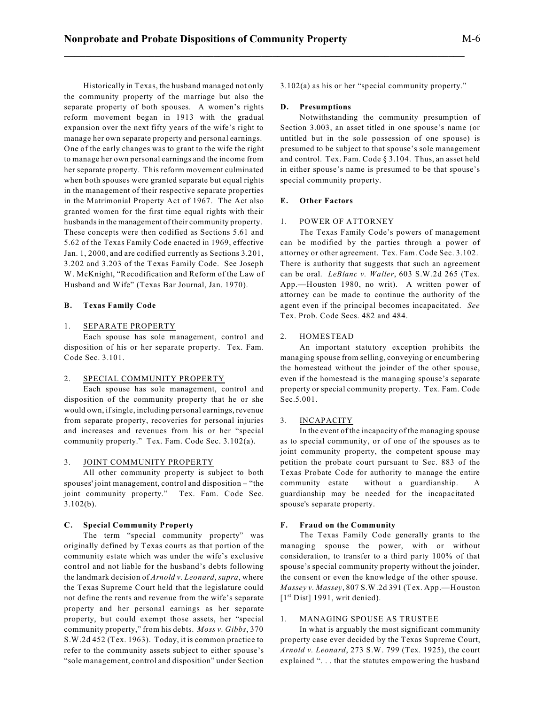Historically in Texas, the husband managed not only the community property of the marriage but also the separate property of both spouses. A women's rights reform movement began in 1913 with the gradual expansion over the next fifty years of the wife's right to manage her own separate property and personal earnings. One of the early changes was to grant to the wife the right to manage her own personal earnings and the income from her separate property. This reform movement culminated when both spouses were granted separate but equal rights in the management of their respective separate properties in the Matrimonial Property Act of 1967. The Act also granted women for the first time equal rights with their husbands in the management of their community property. These concepts were then codified as Sections 5.61 and 5.62 of the Texas Family Code enacted in 1969, effective Jan. 1, 2000, and are codified currently as Sections 3.201, 3.202 and 3.203 of the Texas Family Code. See Joseph W. McKnight, "Recodification and Reform of the Law of Husband and Wife" (Texas Bar Journal, Jan. 1970).

#### **B. Texas Family Code**

## 1. SEPARATE PROPERTY

Each spouse has sole management, control and disposition of his or her separate property. Tex. Fam. Code Sec. 3.101.

# 2. SPECIAL COMMUNITY PROPERTY

Each spouse has sole management, control and disposition of the community property that he or she would own, ifsingle, including personal earnings, revenue from separate property, recoveries for personal injuries and increases and revenues from his or her "special community property." Tex. Fam. Code Sec. 3.102(a).

#### 3. JOINT COMMUNITY PROPERTY

All other community property is subject to both spouses' joint management, control and disposition – "the joint community property." Tex. Fam. Code Sec. 3.102(b).

#### **C. Special Community Property**

The term "special community property" was originally defined by Texas courts as that portion of the community estate which was under the wife's exclusive control and not liable for the husband's debts following the landmark decision of *Arnold v. Leonard*, *supra*, where the Texas Supreme Court held that the legislature could not define the rents and revenue from the wife's separate property and her personal earnings as her separate property, but could exempt those assets, her "special community property," from his debts. *Moss v. Gibbs*, 370 S.W.2d 452 (Tex. 1963). Today, it is common practice to refer to the community assets subject to either spouse's "sole management, control and disposition" under Section 3.102(a) as his or her "special community property."

#### **D. Presumptions**

\_\_\_\_\_\_\_\_\_\_\_\_\_\_\_\_\_\_\_\_\_\_\_\_\_\_\_\_\_\_\_\_\_\_\_\_\_\_\_\_\_\_\_\_\_\_\_\_\_\_\_\_\_\_\_\_\_\_\_\_\_\_\_\_\_\_\_\_\_\_\_\_\_\_\_

Notwithstanding the community presumption of Section 3.003, an asset titled in one spouse's name (or untitled but in the sole possession of one spouse) is presumed to be subject to that spouse's sole management and control. Tex. Fam. Code § 3.104. Thus, an asset held in either spouse's name is presumed to be that spouse's special community property.

# **E. Other Factors**

# 1. POWER OF ATTORNEY

The Texas Family Code's powers of management can be modified by the parties through a power of attorney or other agreement. Tex. Fam. Code Sec. 3.102. There is authority that suggests that such an agreement can be oral. *LeBlanc v. Waller*, 603 S.W.2d 265 (Tex. App.—Houston 1980, no writ). A written power of attorney can be made to continue the authority of the agent even if the principal becomes incapacitated. *See* Tex. Prob. Code Secs. 482 and 484.

#### 2. HOMESTEAD

An important statutory exception prohibits the managing spouse from selling, conveying or encumbering the homestead without the joinder of the other spouse, even if the homestead is the managing spouse's separate property or special community property. Tex. Fam. Code Sec.5.001.

# 3. INCAPACITY

In the event of the incapacity of the managing spouse as to special community, or of one of the spouses as to joint community property, the competent spouse may petition the probate court pursuant to Sec. 883 of the Texas Probate Code for authority to manage the entire community estate without a guardianship. A guardianship may be needed for the incapacitated spouse's separate property.

#### **F. Fraud on the Community**

The Texas Family Code generally grants to the managing spouse the power, with or without consideration, to transfer to a third party 100% of that spouse's special community property without the joinder, the consent or even the knowledge of the other spouse. *Massey v. Massey*, 807 S.W.2d 391 (Tex. App.—Houston  $[1<sup>st</sup> Dist]$  1991, writ denied).

## 1. MANAGING SPOUSE AS TRUSTEE

In what is arguably the most significant community property case ever decided by the Texas Supreme Court, *Arnold v. Leonard*, 273 S.W. 799 (Tex. 1925), the court explained ". . . that the statutes empowering the husband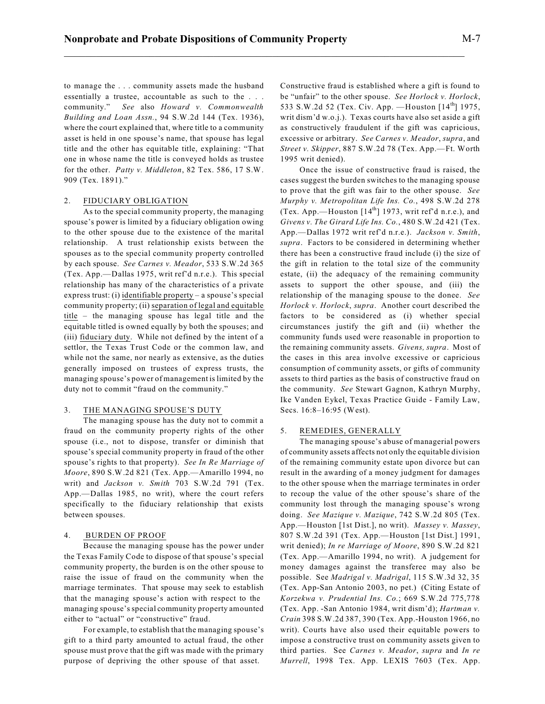to manage the . . . community assets made the husband essentially a trustee, accountable as such to the . . . community." *See* also *Howard v. Commonwealth Building and Loan Assn.*, 94 S.W.2d 144 (Tex. 1936), where the court explained that, where title to a community asset is held in one spouse's name, that spouse has legal title and the other has equitable title, explaining: "That one in whose name the title is conveyed holds as trustee for the other. *Patty v. Middleton*, 82 Tex. 586, 17 S.W. 909 (Tex. 1891)."

#### 2. FIDUCIARY OBLIGATION

As to the special community property, the managing spouse's power is limited by a fiduciary obligation owing to the other spouse due to the existence of the marital relationship. A trust relationship exists between the spouses as to the special community property controlled by each spouse. *See Carnes v. Meador*, 533 S.W.2d 365 (Tex. App.—Dallas 1975, writ ref'd n.r.e.). This special relationship has many of the characteristics of a private express trust: (i) identifiable property – a spouse's special community property; (ii) separation of legal and equitable title – the managing spouse has legal title and the equitable titled is owned equally by both the spouses; and (iii) fiduciary duty. While not defined by the intent of a settlor, the Texas Trust Code or the common law, and while not the same, nor nearly as extensive, as the duties generally imposed on trustees of express trusts, the managing spouse's power of management is limited by the duty not to commit "fraud on the community."

# 3. THE MANAGING SPOUSE'S DUTY

The managing spouse has the duty not to commit a fraud on the community property rights of the other spouse (i.e., not to dispose, transfer or diminish that spouse's special community property in fraud of the other spouse's rights to that property). *See In Re Marriage of Moore*, 890 S.W.2d 821 (Tex. App.—Amarillo 1994, no writ) and *Jackson v. Smith* 703 S.W.2d 791 (Tex. App.—Dallas 1985, no writ), where the court refers specifically to the fiduciary relationship that exists between spouses.

#### 4. BURDEN OF PROOF

Because the managing spouse has the power under the Texas Family Code to dispose of that spouse's special community property, the burden is on the other spouse to raise the issue of fraud on the community when the marriage terminates. That spouse may seek to establish that the managing spouse's action with respect to the managing spouse's special community property amounted either to "actual" or "constructive" fraud.

For example, to establish that the managing spouse's gift to a third party amounted to actual fraud, the other spouse must prove that the gift was made with the primary purpose of depriving the other spouse of that asset.

Constructive fraud is established where a gift is found to be "unfair" to the other spouse. *See Horlock v. Horlock*, 533 S.W.2d 52 (Tex. Civ. App. —Houston [14<sup>th</sup>] 1975, writ dism'd w.o.j.). Texas courts have also set aside a gift as constructively fraudulent if the gift was capricious, excessive or arbitrary. *See Carnes v. Meador*, *supra*, and *Street v. Skipper*, 887 S.W.2d 78 (Tex. App.—Ft. Worth 1995 writ denied).

Once the issue of constructive fraud is raised, the cases suggest the burden switches to the managing spouse to prove that the gift was fair to the other spouse. *See Murphy v. Metropolitan Life Ins. Co.*, 498 S.W.2d 278 (Tex. App.—Houston  $[14<sup>th</sup>]$  1973, writ ref'd n.r.e.), and *Givens v. The Girard Life Ins. Co.*, 480 S.W.2d 421 (Tex. App.—Dallas 1972 writ ref'd n.r.e.). *Jackson v. Smith*, *supra*. Factors to be considered in determining whether there has been a constructive fraud include (i) the size of the gift in relation to the total size of the community estate, (ii) the adequacy of the remaining community assets to support the other spouse, and (iii) the relationship of the managing spouse to the donee. *See Horlock v. Horlock*, *supra*. Another court described the factors to be considered as (i) whether special circumstances justify the gift and (ii) whether the community funds used were reasonable in proportion to the remaining community assets. *Givens, supra*. Most of the cases in this area involve excessive or capricious consumption of community assets, or gifts of community assets to third parties as the basis of constructive fraud on the community. *See* Stewart Gagnon, Kathryn Murphy, Ike Vanden Eykel, Texas Practice Guide - Family Law, Secs. 16:8–16:95 (West).

# 5. REMEDIES, GENERALLY

The managing spouse's abuse of managerial powers of community assets affects not only the equitable division of the remaining community estate upon divorce but can result in the awarding of a money judgment for damages to the other spouse when the marriage terminates in order to recoup the value of the other spouse's share of the community lost through the managing spouse's wrong doing. *See Mazique v. Mazique*, 742 S.W.2d 805 (Tex. App.—Houston [1st Dist.], no writ). *Massey v. Massey*, 807 S.W.2d 391 (Tex. App.—Houston [1st Dist.] 1991, writ denied); *In re Marriage of Moore*, 890 S.W.2d 821 (Tex. App.—Amarillo 1994, no writ). A judgement for money damages against the transferee may also be possible. See *Madrigal v. Madrigal*, 115 S.W.3d 32, 35 (Tex. App-San Antonio 2003, no pet.) (Citing Estate of *Korzekwa v. Prudential Ins. Co.*; 669 S.W.2d 775,778 (Tex. App. -San Antonio 1984, writ dism'd); *Hartman v. Crain* 398 S.W.2d 387, 390 (Tex. App.-Houston 1966, no writ). Courts have also used their equitable powers to impose a constructive trust on community assets given to third parties. See *Carnes v. Meador*, *supra* and *In re Murrell*, 1998 Tex. App. LEXIS 7603 (Tex. App.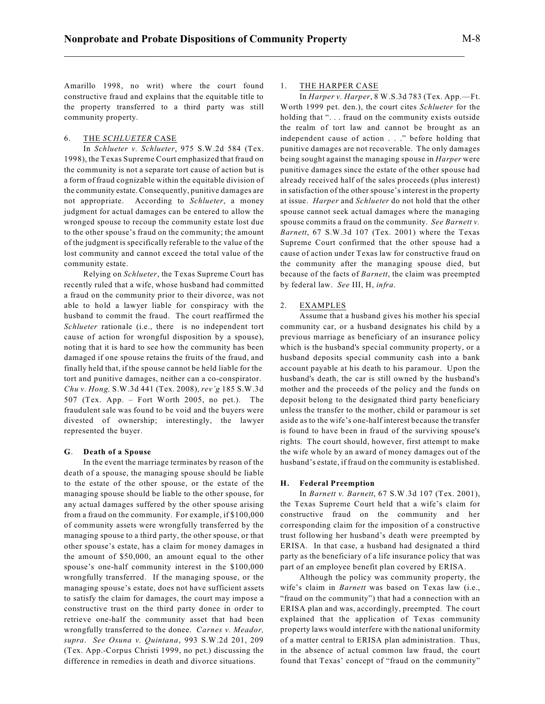Amarillo 1998, no writ) where the court found constructive fraud and explains that the equitable title to the property transferred to a third party was still community property.

# 6. THE *SCHLUETER* CASE

In *Schlueter v. Schlueter*, 975 S.W.2d 584 (Tex. 1998), the Texas Supreme Court emphasized that fraud on the community is not a separate tort cause of action but is a form of fraud cognizable within the equitable division of the community estate. Consequently, punitive damages are not appropriate. According to *Schlueter*, a money judgment for actual damages can be entered to allow the wronged spouse to recoup the community estate lost due to the other spouse's fraud on the community; the amount of the judgment is specifically referable to the value of the lost community and cannot exceed the total value of the community estate.

Relying on *Schlueter*, the Texas Supreme Court has recently ruled that a wife, whose husband had committed a fraud on the community prior to their divorce, was not able to hold a lawyer liable for conspiracy with the husband to commit the fraud. The court reaffirmed the *Schlueter* rationale (i.e., there is no independent tort cause of action for wrongful disposition by a spouse), noting that it is hard to see how the community has been damaged if one spouse retains the fruits of the fraud, and finally held that, if the spouse cannot be held liable for the tort and punitive damages, neither can a co-conspirator. *Chu v. Hong,* S.W.3d 441 (Tex. 2008), *rev'g* 185 S.W.3d 507 (Tex. App. – Fort Worth 2005, no pet.). The fraudulent sale was found to be void and the buyers were divested of ownership; interestingly, the lawyer represented the buyer.

#### **G**. **Death of a Spouse**

In the event the marriage terminates by reason of the death of a spouse, the managing spouse should be liable to the estate of the other spouse, or the estate of the managing spouse should be liable to the other spouse, for any actual damages suffered by the other spouse arising from a fraud on the community. For example, if \$100,000 of community assets were wrongfully transferred by the managing spouse to a third party, the other spouse, or that other spouse's estate, has a claim for money damages in the amount of \$50,000, an amount equal to the other spouse's one-half community interest in the \$100,000 wrongfully transferred. If the managing spouse, or the managing spouse's estate, does not have sufficient assets to satisfy the claim for damages, the court may impose a constructive trust on the third party donee in order to retrieve one-half the community asset that had been wrongfully transferred to the donee. *Carnes v. Meador, supra*. *See Osuna v. Quintana*, 993 S.W.2d 201, 209 (Tex. App.-Corpus Christi 1999, no pet.) discussing the difference in remedies in death and divorce situations.

#### 1. THE HARPER CASE

In *Harper v. Harper*, 8 W.S.3d 783 (Tex. App.—Ft. Worth 1999 pet. den.), the court cites *Schlueter* for the holding that ". . . fraud on the community exists outside the realm of tort law and cannot be brought as an independent cause of action . . ." before holding that punitive damages are not recoverable. The only damages being sought against the managing spouse in *Harper* were punitive damages since the estate of the other spouse had already received half of the sales proceeds (plus interest) in satisfaction of the other spouse's interest in the property at issue. *Harper* and *Schlueter* do not hold that the other spouse cannot seek actual damages where the managing spouse commits a fraud on the community. *See Barnett v. Barnett*, 67 S.W.3d 107 (Tex. 2001) where the Texas Supreme Court confirmed that the other spouse had a cause of action under Texas law for constructive fraud on the community after the managing spouse died, but because of the facts of *Barnett*, the claim was preempted by federal law. *See* III, H, *infra*.

#### 2. EXAMPLES

Assume that a husband gives his mother his special community car, or a husband designates his child by a previous marriage as beneficiary of an insurance policy which is the husband's special community property, or a husband deposits special community cash into a bank account payable at his death to his paramour. Upon the husband's death, the car is still owned by the husband's mother and the proceeds of the policy and the funds on deposit belong to the designated third party beneficiary unless the transfer to the mother, child or paramour is set aside as to the wife's one-half interest because the transfer is found to have been in fraud of the surviving spouse's rights. The court should, however, first attempt to make the wife whole by an award of money damages out of the husband's estate, if fraud on the community is established.

#### **H. Federal Preemption**

In *Barnett v. Barnett*, 67 S.W.3d 107 (Tex. 2001), the Texas Supreme Court held that a wife's claim for constructive fraud on the community and her corresponding claim for the imposition of a constructive trust following her husband's death were preempted by ERISA. In that case, a husband had designated a third party as the beneficiary of a life insurance policy that was part of an employee benefit plan covered by ERISA.

Although the policy was community property, the wife's claim in *Barnett* was based on Texas law (i.e., "fraud on the community") that had a connection with an ERISA plan and was, accordingly, preempted. The court explained that the application of Texas community property laws would interfere with the national uniformity of a matter central to ERISA plan administration. Thus, in the absence of actual common law fraud, the court found that Texas' concept of "fraud on the community"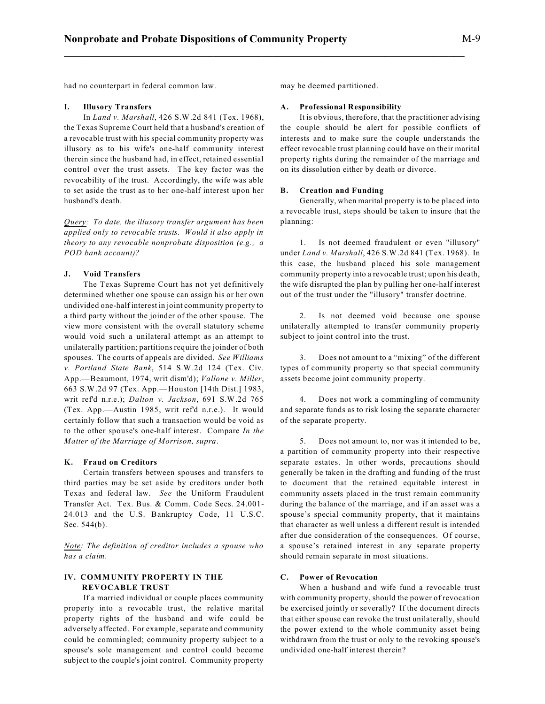had no counterpart in federal common law.

## **I. Illusory Transfers**

In *Land v. Marshall*, 426 S.W.2d 841 (Tex. 1968), the Texas Supreme Court held that a husband's creation of a revocable trust with his special community property was illusory as to his wife's one-half community interest therein since the husband had, in effect, retained essential control over the trust assets. The key factor was the revocability of the trust. Accordingly, the wife was able to set aside the trust as to her one-half interest upon her husband's death.

*Query: To date, the illusory transfer argument has been applied only to revocable trusts. Would it also apply in theory to any revocable nonprobate disposition (e.g., a POD bank account)?*

# **J. Void Transfers**

The Texas Supreme Court has not yet definitively determined whether one spouse can assign his or her own undivided one-half interest in joint community property to a third party without the joinder of the other spouse. The view more consistent with the overall statutory scheme would void such a unilateral attempt as an attempt to unilaterally partition; partitions require the joinder of both spouses. The courts of appeals are divided. *See Williams v. Portland State Bank*, 514 S.W.2d 124 (Tex. Civ. App.—Beaumont, 1974, writ dism'd); *Vallone v. Miller*, 663 S.W.2d 97 (Tex. App.—Houston [14th Dist.] 1983, writ ref'd n.r.e.); *Dalton v. Jackson*, 691 S.W.2d 765 (Tex. App.—Austin 1985, writ ref'd n.r.e.). It would certainly follow that such a transaction would be void as to the other spouse's one-half interest. Compare *In the Matter of the Marriage of Morrison, supra*.

#### **K. Fraud on Creditors**

Certain transfers between spouses and transfers to third parties may be set aside by creditors under both Texas and federal law. *See* the Uniform Fraudulent Transfer Act. Tex. Bus. & Comm. Code Secs. 24.001- 24.013 and the U.S. Bankruptcy Code, 11 U.S.C. Sec. 544(b).

*Note: The definition of creditor includes a spouse who has a claim.*

# **IV. COMMUNITY PROPERTY IN THE REVOCABLE TRUST**

If a married individual or couple places community property into a revocable trust, the relative marital property rights of the husband and wife could be adversely affected. For example, separate and community could be commingled; community property subject to a spouse's sole management and control could become subject to the couple's joint control. Community property may be deemed partitioned.

## **A. Professional Responsibility**

It is obvious, therefore, that the practitioner advising the couple should be alert for possible conflicts of interests and to make sure the couple understands the effect revocable trust planning could have on their marital property rights during the remainder of the marriage and on its dissolution either by death or divorce.

## **B. Creation and Funding**

Generally, when marital property is to be placed into a revocable trust, steps should be taken to insure that the planning:

1. Is not deemed fraudulent or even "illusory" under *Land v. Marshall*, 426 S.W.2d 841 (Tex. 1968). In this case, the husband placed his sole management community property into a revocable trust; upon his death, the wife disrupted the plan by pulling her one-half interest out of the trust under the "illusory" transfer doctrine.

2. Is not deemed void because one spouse unilaterally attempted to transfer community property subject to joint control into the trust.

3. Does not amount to a "mixing" of the different types of community property so that special community assets become joint community property.

4. Does not work a commingling of community and separate funds as to risk losing the separate character of the separate property.

5. Does not amount to, nor was it intended to be, a partition of community property into their respective separate estates. In other words, precautions should generally be taken in the drafting and funding of the trust to document that the retained equitable interest in community assets placed in the trust remain community during the balance of the marriage, and if an asset was a spouse's special community property, that it maintains that character as well unless a different result is intended after due consideration of the consequences. Of course, a spouse's retained interest in any separate property should remain separate in most situations.

## **C. Power of Revocation**

When a husband and wife fund a revocable trust with community property, should the power of revocation be exercised jointly or severally? If the document directs that either spouse can revoke the trust unilaterally, should the power extend to the whole community asset being withdrawn from the trust or only to the revoking spouse's undivided one-half interest therein?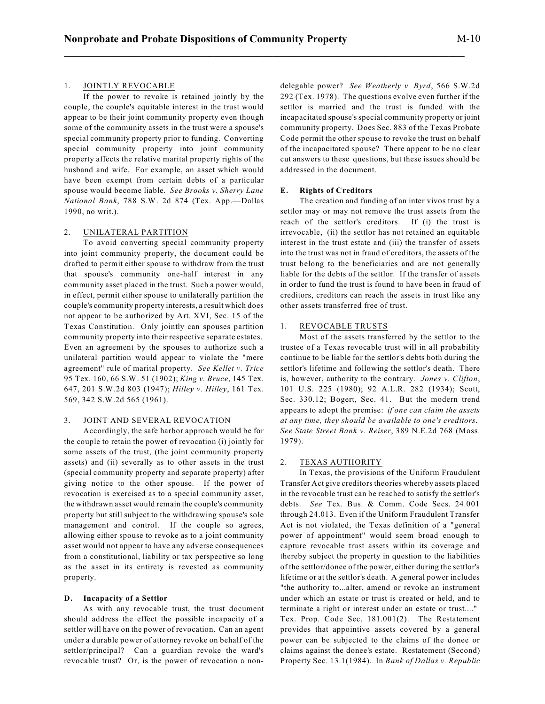## 1. JOINTLY REVOCABLE

If the power to revoke is retained jointly by the couple, the couple's equitable interest in the trust would appear to be their joint community property even though some of the community assets in the trust were a spouse's special community property prior to funding. Converting special community property into joint community property affects the relative marital property rights of the husband and wife. For example, an asset which would have been exempt from certain debts of a particular spouse would become liable. *See Brooks v. Sherry Lane National Bank*, 788 S.W. 2d 874 (Tex. App.—Dallas 1990, no writ.).

## 2. UNILATERAL PARTITION

To avoid converting special community property into joint community property, the document could be drafted to permit either spouse to withdraw from the trust that spouse's community one-half interest in any community asset placed in the trust. Such a power would, in effect, permit either spouse to unilaterally partition the couple's community property interests, a result which does not appear to be authorized by Art. XVI, Sec. 15 of the Texas Constitution. Only jointly can spouses partition community property into their respective separate estates. Even an agreement by the spouses to authorize such a unilateral partition would appear to violate the "mere agreement" rule of marital property. *See Kellet v. Trice* 95 Tex. 160, 66 S.W. 51 (1902); *King v. Bruce*, 145 Tex. 647, 201 S.W.2d 803 (1947); *Hilley v. Hilley*, 161 Tex. 569, 342 S.W.2d 565 (1961).

# 3. JOINT AND SEVERAL REVOCATION

Accordingly, the safe harbor approach would be for the couple to retain the power of revocation (i) jointly for some assets of the trust, (the joint community property assets) and (ii) severally as to other assets in the trust (special community property and separate property) after giving notice to the other spouse. If the power of revocation is exercised as to a special community asset, the withdrawn asset would remain the couple's community property but still subject to the withdrawing spouse's sole management and control. If the couple so agrees, allowing either spouse to revoke as to a joint community asset would not appear to have any adverse consequences from a constitutional, liability or tax perspective so long as the asset in its entirety is revested as community property.

## **D. Incapacity of a Settlor**

As with any revocable trust, the trust document should address the effect the possible incapacity of a settlor will have on the power of revocation. Can an agent under a durable power of attorney revoke on behalf of the settlor/principal? Can a guardian revoke the ward's revocable trust? Or, is the power of revocation a nondelegable power? *See Weatherly v. Byrd*, 566 S.W.2d 292 (Tex. 1978). The questions evolve even further if the settlor is married and the trust is funded with the incapacitated spouse's special community property or joint community property. Does Sec. 883 of the Texas Probate Code permit the other spouse to revoke the trust on behalf of the incapacitated spouse? There appear to be no clear cut answers to these questions, but these issues should be addressed in the document.

## **E. Rights of Creditors**

The creation and funding of an inter vivos trust by a settlor may or may not remove the trust assets from the reach of the settlor's creditors. If (i) the trust is irrevocable, (ii) the settlor has not retained an equitable interest in the trust estate and (iii) the transfer of assets into the trust was not in fraud of creditors, the assets of the trust belong to the beneficiaries and are not generally liable for the debts of the settlor. If the transfer of assets in order to fund the trust is found to have been in fraud of creditors, creditors can reach the assets in trust like any other assets transferred free of trust.

## 1. REVOCABLE TRUSTS

Most of the assets transferred by the settlor to the trustee of a Texas revocable trust will in all probability continue to be liable for the settlor's debts both during the settlor's lifetime and following the settlor's death. There is, however, authority to the contrary. *Jones v. Clifton*, 101 U.S. 225 (1980); 92 A.L.R. 282 (1934); Scott, Sec. 330.12; Bogert, Sec. 41. But the modern trend appears to adopt the premise: *if one can claim the assets at any time, they should be available to one's creditors*. *See State Street Bank v. Reiser*, 389 N.E.2d 768 (Mass. 1979).

## 2. TEXAS AUTHORITY

In Texas, the provisions of the Uniform Fraudulent Transfer Act give creditors theories whereby assets placed in the revocable trust can be reached to satisfy the settlor's debts. *See* Tex. Bus. & Comm. Code Secs. 24.001 through 24.013. Even if the Uniform Fraudulent Transfer Act is not violated, the Texas definition of a "general power of appointment" would seem broad enough to capture revocable trust assets within its coverage and thereby subject the property in question to the liabilities of the settlor/donee of the power, either during the settlor's lifetime or at the settlor's death. A general power includes "the authority to...alter, amend or revoke an instrument under which an estate or trust is created or held, and to terminate a right or interest under an estate or trust...."

Tex. Prop. Code Sec. 181.001(2). The Restatement provides that appointive assets covered by a general power can be subjected to the claims of the donee or claims against the donee's estate. Restatement (Second) Property Sec. 13.1(1984). In *Bank of Dallas v. Republic*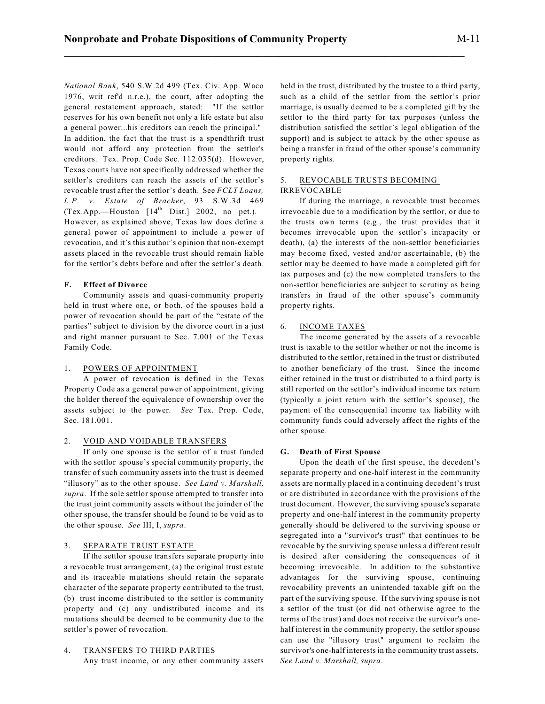*National Bank*, 540 S.W.2d 499 (Tex. Civ. App. Waco 1976, writ ref'd n.r.e.), the court, after adopting the general restatement approach, stated: "If the settlor reserves for his own benefit not only a life estate but also a general power...his creditors can reach the principal." In addition, the fact that the trust is a spendthrift trust would not afford any protection from the settlor's creditors. Tex. Prop. Code Sec. 112.035(d). However, Texas courts have not specifically addressed whether the settlor's creditors can reach the assets of the settlor's revocable trust after the settlor's death. See *FCLT Loans, L.P. v. Estate of Bracher*, 93 S.W.3d 469 (Tex.App.—Houston  $[14<sup>th</sup> Dist.]$  2002, no pet.). However, as explained above, Texas law does define a general power of appointment to include a power of revocation, and it's this author's opinion that non-exempt assets placed in the revocable trust should remain liable for the settlor's debts before and after the settlor's death.

# **F. Effect of Divorce**

Community assets and quasi-community property held in trust where one, or both, of the spouses hold a power of revocation should be part of the "estate of the parties" subject to division by the divorce court in a just and right manner pursuant to Sec. 7.001 of the Texas Family Code.

# 1. POWERS OF APPOINTMENT

A power of revocation is defined in the Texas Property Code as a general power of appointment, giving the holder thereof the equivalence of ownership over the assets subject to the power. *See* Tex. Prop. Code, Sec. 181.001.

# 2. VOID AND VOIDABLE TRANSFERS

If only one spouse is the settlor of a trust funded with the settlor spouse's special community property, the transfer of such community assets into the trust is deemed "illusory" as to the other spouse. *See Land v. Marshall, supra*. If the sole settlor spouse attempted to transfer into the trust joint community assets without the joinder of the other spouse, the transfer should be found to be void as to the other spouse. *See* III, I, *supra*.

# 3. SEPARATE TRUST ESTATE

If the settlor spouse transfers separate property into a revocable trust arrangement, (a) the original trust estate and its traceable mutations should retain the separate character of the separate property contributed to the trust, (b) trust income distributed to the settlor is community property and (c) any undistributed income and its mutations should be deemed to be community due to the settlor's power of revocation.

# 4. TRANSFERS TO THIRD PARTIES

Any trust income, or any other community assets

held in the trust, distributed by the trustee to a third party, such as a child of the settlor from the settlor's prior marriage, is usually deemed to be a completed gift by the settlor to the third party for tax purposes (unless the distribution satisfied the settlor's legal obligation of the support) and is subject to attack by the other spouse as being a transfer in fraud of the other spouse's community property rights.

# 5. REVOCABLE TRUSTS BECOMING IRREVOCABLE

If during the marriage, a revocable trust becomes irrevocable due to a modification by the settlor, or due to the trusts own terms (e.g., the trust provides that it becomes irrevocable upon the settlor's incapacity or death), (a) the interests of the non-settlor beneficiaries may become fixed, vested and/or ascertainable, (b) the settlor may be deemed to have made a completed gift for tax purposes and (c) the now completed transfers to the non-settlor beneficiaries are subject to scrutiny as being transfers in fraud of the other spouse's community property rights.

# 6. INCOME TAXES

The income generated by the assets of a revocable trust is taxable to the settlor whether or not the income is distributed to the settlor, retained in the trust or distributed to another beneficiary of the trust. Since the income either retained in the trust or distributed to a third party is still reported on the settlor's individual income tax return (typically a joint return with the settlor's spouse), the payment of the consequential income tax liability with community funds could adversely affect the rights of the other spouse.

# **G. Death of First Spouse**

Upon the death of the first spouse, the decedent's separate property and one-half interest in the community assets are normally placed in a continuing decedent's trust or are distributed in accordance with the provisions of the trust document. However, the surviving spouse's separate property and one-half interest in the community property generally should be delivered to the surviving spouse or segregated into a "survivor's trust" that continues to be revocable by the surviving spouse unless a different result is desired after considering the consequences of it becoming irrevocable. In addition to the substantive advantages for the surviving spouse, continuing revocability prevents an unintended taxable gift on the part of the surviving spouse. If the surviving spouse is not a settlor of the trust (or did not otherwise agree to the terms of the trust) and does not receive the survivor's onehalf interest in the community property, the settlor spouse can use the "illusory trust" argument to reclaim the survivor's one-half interests in the community trust assets. *See Land v. Marshall, supra*.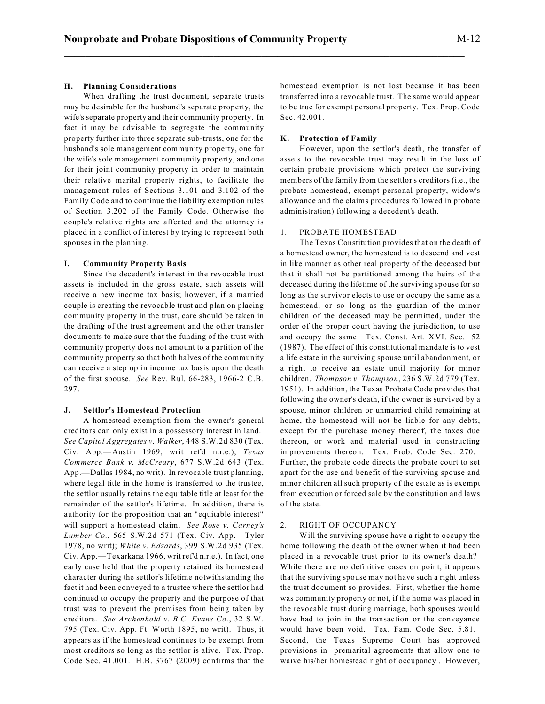## **H. Planning Considerations**

When drafting the trust document, separate trusts may be desirable for the husband's separate property, the wife's separate property and their community property. In fact it may be advisable to segregate the community property further into three separate sub-trusts, one for the husband's sole management community property, one for the wife's sole management community property, and one for their joint community property in order to maintain their relative marital property rights, to facilitate the management rules of Sections 3.101 and 3.102 of the Family Code and to continue the liability exemption rules of Section 3.202 of the Family Code. Otherwise the couple's relative rights are affected and the attorney is placed in a conflict of interest by trying to represent both spouses in the planning.

#### **I. Community Property Basis**

Since the decedent's interest in the revocable trust assets is included in the gross estate, such assets will receive a new income tax basis; however, if a married couple is creating the revocable trust and plan on placing community property in the trust, care should be taken in the drafting of the trust agreement and the other transfer documents to make sure that the funding of the trust with community property does not amount to a partition of the community property so that both halves of the community can receive a step up in income tax basis upon the death of the first spouse. *See* Rev. Rul. 66-283, 1966-2 C.B. 297.

## **J. Settlor's Homestead Protection**

A homestead exemption from the owner's general creditors can only exist in a possessory interest in land. *See Capitol Aggregates v. Walker*, 448 S.W.2d 830 (Tex. Civ. App.—Austin 1969, writ ref'd n.r.e.); *Texas Commerce Bank v. McCreary*, 677 S.W.2d 643 (Tex. App.—Dallas 1984, no writ). In revocable trust planning, where legal title in the home is transferred to the trustee, the settlor usually retains the equitable title at least for the remainder of the settlor's lifetime. In addition, there is authority for the proposition that an "equitable interest" will support a homestead claim. *See Rose v. Carney's Lumber Co.*, 565 S.W.2d 571 (Tex. Civ. App.—Tyler 1978, no writ); *White v. Edzards*, 399 S.W.2d 935 (Tex. Civ. App.—Texarkana 1966, writ ref'd n.r.e.). In fact, one early case held that the property retained its homestead character during the settlor's lifetime notwithstanding the fact it had been conveyed to a trustee where the settlor had continued to occupy the property and the purpose of that trust was to prevent the premises from being taken by creditors. *See Archenhold v. B.C. Evans Co.*, 32 S.W. 795 (Tex. Civ. App. Ft. Worth 1895, no writ). Thus, it appears as if the homestead continues to be exempt from most creditors so long as the settlor is alive. Tex. Prop. Code Sec. 41.001. H.B. 3767 (2009) confirms that the homestead exemption is not lost because it has been transferred into a revocable trust. The same would appear to be true for exempt personal property. Tex. Prop. Code Sec. 42.001.

#### **K. Protection of Family**

However, upon the settlor's death, the transfer of assets to the revocable trust may result in the loss of certain probate provisions which protect the surviving members of the family from the settlor's creditors (i.e., the probate homestead, exempt personal property, widow's allowance and the claims procedures followed in probate administration) following a decedent's death.

#### 1. PROBATE HOMESTEAD

The Texas Constitution provides that on the death of a homestead owner, the homestead is to descend and vest in like manner as other real property of the deceased but that it shall not be partitioned among the heirs of the deceased during the lifetime of the surviving spouse for so long as the survivor elects to use or occupy the same as a homestead, or so long as the guardian of the minor children of the deceased may be permitted, under the order of the proper court having the jurisdiction, to use and occupy the same. Tex. Const. Art. XVI. Sec. 52 (1987). The effect of this constitutional mandate is to vest a life estate in the surviving spouse until abandonment, or a right to receive an estate until majority for minor children. *Thompson v. Thompson*, 236 S.W.2d 779 (Tex. 1951). In addition, the Texas Probate Code provides that following the owner's death, if the owner is survived by a spouse, minor children or unmarried child remaining at home, the homestead will not be liable for any debts, except for the purchase money thereof, the taxes due thereon, or work and material used in constructing improvements thereon. Tex. Prob. Code Sec. 270. Further, the probate code directs the probate court to set apart for the use and benefit of the surviving spouse and minor children all such property of the estate as is exempt from execution or forced sale by the constitution and laws of the state.

#### 2. RIGHT OF OCCUPANCY

Will the surviving spouse have a right to occupy the home following the death of the owner when it had been placed in a revocable trust prior to its owner's death? While there are no definitive cases on point, it appears that the surviving spouse may not have such a right unless the trust document so provides. First, whether the home was community property or not, if the home was placed in the revocable trust during marriage, both spouses would have had to join in the transaction or the conveyance would have been void. Tex. Fam. Code Sec. 5.81. Second, the Texas Supreme Court has approved provisions in premarital agreements that allow one to waive his/her homestead right of occupancy . However,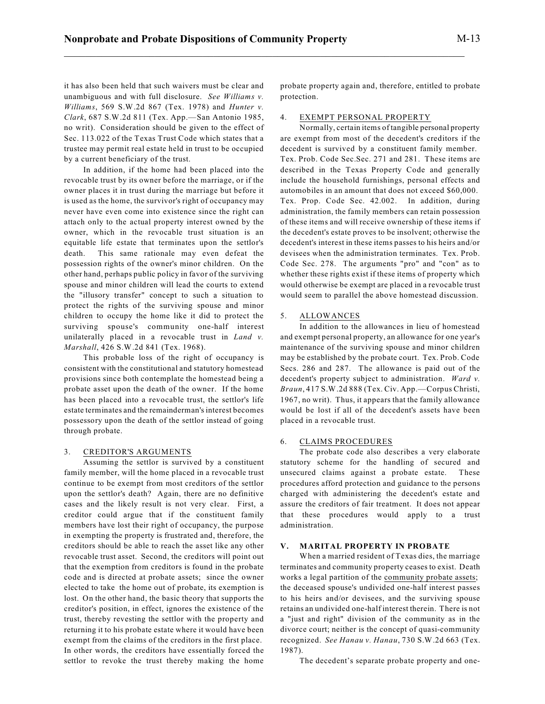it has also been held that such waivers must be clear and unambiguous and with full disclosure. *See Williams v. Williams*, 569 S.W.2d 867 (Tex. 1978) and *Hunter v. Clark*, 687 S.W.2d 811 (Tex. App.—San Antonio 1985, no writ). Consideration should be given to the effect of Sec. 113.022 of the Texas Trust Code which states that a trustee may permit real estate held in trust to be occupied by a current beneficiary of the trust.

In addition, if the home had been placed into the revocable trust by its owner before the marriage, or if the owner places it in trust during the marriage but before it is used as the home, the survivor's right of occupancy may never have even come into existence since the right can attach only to the actual property interest owned by the owner, which in the revocable trust situation is an equitable life estate that terminates upon the settlor's death. This same rationale may even defeat the possession rights of the owner's minor children. On the other hand, perhaps public policy in favor of the surviving spouse and minor children will lead the courts to extend the "illusory transfer" concept to such a situation to protect the rights of the surviving spouse and minor children to occupy the home like it did to protect the surviving spouse's community one-half interest unilaterally placed in a revocable trust in *Land v. Marshall*, 426 S.W.2d 841 (Tex. 1968).

This probable loss of the right of occupancy is consistent with the constitutional and statutory homestead provisions since both contemplate the homestead being a probate asset upon the death of the owner. If the home has been placed into a revocable trust, the settlor's life estate terminates and the remainderman's interest becomes possessory upon the death of the settlor instead of going through probate.

#### 3. CREDITOR'S ARGUMENTS

Assuming the settlor is survived by a constituent family member, will the home placed in a revocable trust continue to be exempt from most creditors of the settlor upon the settlor's death? Again, there are no definitive cases and the likely result is not very clear. First, a creditor could argue that if the constituent family members have lost their right of occupancy, the purpose in exempting the property is frustrated and, therefore, the creditors should be able to reach the asset like any other revocable trust asset. Second, the creditors will point out that the exemption from creditors is found in the probate code and is directed at probate assets; since the owner elected to take the home out of probate, its exemption is lost. On the other hand, the basic theory that supports the creditor's position, in effect, ignores the existence of the trust, thereby revesting the settlor with the property and returning it to his probate estate where it would have been exempt from the claims of the creditors in the first place. In other words, the creditors have essentially forced the settlor to revoke the trust thereby making the home probate property again and, therefore, entitled to probate protection.

# 4. EXEMPT PERSONAL PROPERTY

Normally, certain items of tangible personal property are exempt from most of the decedent's creditors if the decedent is survived by a constituent family member. Tex. Prob. Code Sec.Sec. 271 and 281. These items are described in the Texas Property Code and generally include the household furnishings, personal effects and automobiles in an amount that does not exceed \$60,000. Tex. Prop. Code Sec. 42.002. In addition, during administration, the family members can retain possession of these items and will receive ownership of these items if the decedent's estate proves to be insolvent; otherwise the decedent's interest in these items passes to his heirs and/or devisees when the administration terminates. Tex. Prob. Code Sec. 278. The arguments "pro" and "con" as to whether these rights exist if these items of property which would otherwise be exempt are placed in a revocable trust would seem to parallel the above homestead discussion.

#### 5. ALLOWANCES

In addition to the allowances in lieu of homestead and exempt personal property, an allowance for one year's maintenance of the surviving spouse and minor children may be established by the probate court. Tex. Prob. Code Secs. 286 and 287. The allowance is paid out of the decedent's property subject to administration. *Ward v. Braun*, 417 S.W.2d 888 (Tex. Civ. App.—Corpus Christi, 1967, no writ). Thus, it appears that the family allowance would be lost if all of the decedent's assets have been placed in a revocable trust.

## 6. CLAIMS PROCEDURES

The probate code also describes a very elaborate statutory scheme for the handling of secured and unsecured claims against a probate estate. These procedures afford protection and guidance to the persons charged with administering the decedent's estate and assure the creditors of fair treatment. It does not appear that these procedures would apply to a trust administration.

# **V. MARITAL PROPERTY IN PROBATE**

When a married resident of Texas dies, the marriage terminates and community property ceases to exist. Death works a legal partition of the community probate assets; the deceased spouse's undivided one-half interest passes to his heirs and/or devisees, and the surviving spouse retains an undivided one-half interest therein. There is not a "just and right" division of the community as in the divorce court; neither is the concept of quasi-community recognized. *See Hanau v. Hanau*, 730 S.W.2d 663 (Tex. 1987).

The decedent's separate probate property and one-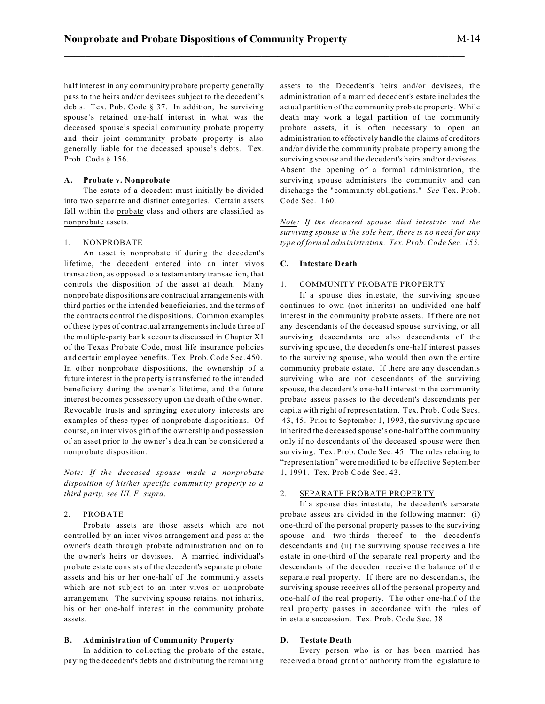half interest in any community probate property generally pass to the heirs and/or devisees subject to the decedent's debts. Tex. Pub. Code § 37. In addition, the surviving spouse's retained one-half interest in what was the deceased spouse's special community probate property and their joint community probate property is also generally liable for the deceased spouse's debts. Tex. Prob. Code § 156.

#### **A. Probate v. Nonprobate**

The estate of a decedent must initially be divided into two separate and distinct categories. Certain assets fall within the probate class and others are classified as nonprobate assets.

#### 1. NONPROBATE

An asset is nonprobate if during the decedent's lifetime, the decedent entered into an inter vivos transaction, as opposed to a testamentary transaction, that controls the disposition of the asset at death. Many nonprobate dispositions are contractual arrangements with third parties or the intended beneficiaries, and the terms of the contracts control the dispositions. Common examples of these types of contractual arrangements include three of the multiple-party bank accounts discussed in Chapter XI of the Texas Probate Code, most life insurance policies and certain employee benefits. Tex. Prob. Code Sec. 450. In other nonprobate dispositions, the ownership of a future interest in the property is transferred to the intended beneficiary during the owner's lifetime, and the future interest becomes possessory upon the death of the owner. Revocable trusts and springing executory interests are examples of these types of nonprobate dispositions. Of course, an inter vivos gift of the ownership and possession of an asset prior to the owner's death can be considered a nonprobate disposition.

*Note: If the deceased spouse made a nonprobate disposition of his/her specific community property to a third party, see III, F, supra*.

## 2. PROBATE

Probate assets are those assets which are not controlled by an inter vivos arrangement and pass at the owner's death through probate administration and on to the owner's heirs or devisees. A married individual's probate estate consists of the decedent's separate probate assets and his or her one-half of the community assets which are not subject to an inter vivos or nonprobate arrangement. The surviving spouse retains, not inherits, his or her one-half interest in the community probate assets.

# **B. Administration of Community Property**

In addition to collecting the probate of the estate, paying the decedent's debts and distributing the remaining assets to the Decedent's heirs and/or devisees, the administration of a married decedent's estate includes the actual partition of the community probate property. While death may work a legal partition of the community probate assets, it is often necessary to open an administration to effectively handle the claims of creditors and/or divide the community probate property among the surviving spouse and the decedent's heirs and/or devisees. Absent the opening of a formal administration, the surviving spouse administers the community and can discharge the "community obligations." *See* Tex. Prob. Code Sec. 160.

*Note: If the deceased spouse died intestate and the surviving spouse is the sole heir, there is no need for any type of formal administration. Tex. Prob. Code Sec. 155.*

# **C. Intestate Death**

# 1. COMMUNITY PROBATE PROPERTY

If a spouse dies intestate, the surviving spouse continues to own (not inherits) an undivided one-half interest in the community probate assets. If there are not any descendants of the deceased spouse surviving, or all surviving descendants are also descendants of the surviving spouse, the decedent's one-half interest passes to the surviving spouse, who would then own the entire community probate estate. If there are any descendants surviving who are not descendants of the surviving spouse, the decedent's one-half interest in the community probate assets passes to the decedent's descendants per capita with right of representation. Tex. Prob. Code Secs. 43, 45. Prior to September 1, 1993, the surviving spouse inherited the deceased spouse's one-half of the community only if no descendants of the deceased spouse were then surviving. Tex. Prob. Code Sec. 45. The rules relating to "representation" were modified to be effective September 1, 1991. Tex. Prob Code Sec. 43.

# 2. SEPARATE PROBATE PROPERTY

If a spouse dies intestate, the decedent's separate probate assets are divided in the following manner: (i) one-third of the personal property passes to the surviving spouse and two-thirds thereof to the decedent's descendants and (ii) the surviving spouse receives a life estate in one-third of the separate real property and the descendants of the decedent receive the balance of the separate real property. If there are no descendants, the surviving spouse receives all of the personal property and one-half of the real property. The other one-half of the real property passes in accordance with the rules of intestate succession. Tex. Prob. Code Sec. 38.

#### **D. Testate Death**

Every person who is or has been married has received a broad grant of authority from the legislature to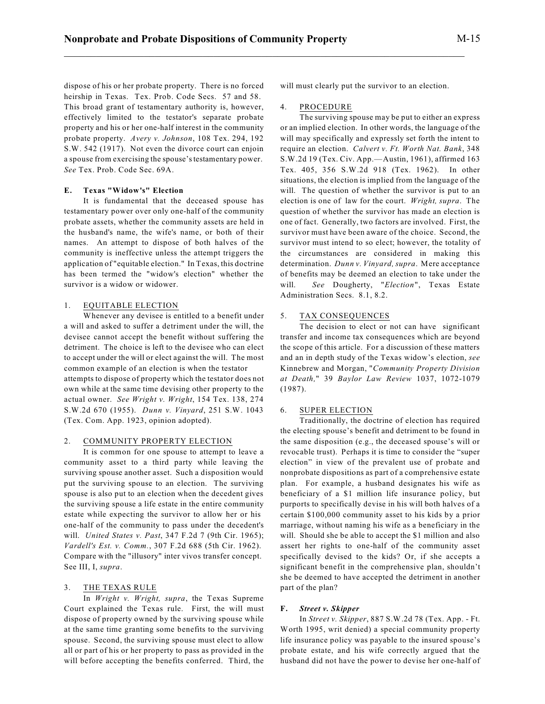dispose of his or her probate property. There is no forced heirship in Texas. Tex. Prob. Code Secs. 57 and 58. This broad grant of testamentary authority is, however, effectively limited to the testator's separate probate property and his or her one-half interest in the community probate property. *Avery v. Johnson*, 108 Tex. 294, 192 S.W. 542 (1917). Not even the divorce court can enjoin

a spouse from exercising the spouse'stestamentary power.

## **E. Texas "Widow's" Election**

*See* Tex. Prob. Code Sec. 69A.

It is fundamental that the deceased spouse has testamentary power over only one-half of the community probate assets, whether the community assets are held in the husband's name, the wife's name, or both of their names. An attempt to dispose of both halves of the community is ineffective unless the attempt triggers the application of "equitable election." In Texas, this doctrine has been termed the "widow's election" whether the survivor is a widow or widower.

#### 1. EQUITABLE ELECTION

Whenever any devisee is entitled to a benefit under a will and asked to suffer a detriment under the will, the devisee cannot accept the benefit without suffering the detriment. The choice is left to the devisee who can elect to accept under the will or elect against the will. The most common example of an election is when the testator attempts to dispose of property which the testator does not own while at the same time devising other property to the actual owner. *See Wright v. Wright*, 154 Tex. 138, 274 S.W.2d 670 (1955). *Dunn v. Vinyard*, 251 S.W. 1043 (Tex. Com. App. 1923, opinion adopted).

#### 2. COMMUNITY PROPERTY ELECTION

It is common for one spouse to attempt to leave a community asset to a third party while leaving the surviving spouse another asset. Such a disposition would put the surviving spouse to an election. The surviving spouse is also put to an election when the decedent gives the surviving spouse a life estate in the entire community estate while expecting the survivor to allow her or his one-half of the community to pass under the decedent's will. *United States v. Past*, 347 F.2d 7 (9th Cir. 1965); *Vardell's Est. v. Comm.*, 307 F.2d 688 (5th Cir. 1962). Compare with the "illusory" inter vivos transfer concept. See III, I, *supra*.

# 3. THE TEXAS RULE

In *Wright v. Wright, supra*, the Texas Supreme Court explained the Texas rule. First, the will must dispose of property owned by the surviving spouse while at the same time granting some benefits to the surviving spouse. Second, the surviving spouse must elect to allow all or part of his or her property to pass as provided in the will before accepting the benefits conferred. Third, the will must clearly put the survivor to an election.

#### 4. PROCEDURE

\_\_\_\_\_\_\_\_\_\_\_\_\_\_\_\_\_\_\_\_\_\_\_\_\_\_\_\_\_\_\_\_\_\_\_\_\_\_\_\_\_\_\_\_\_\_\_\_\_\_\_\_\_\_\_\_\_\_\_\_\_\_\_\_\_\_\_\_\_\_\_\_\_\_\_

The surviving spouse may be put to either an express or an implied election. In other words, the language of the will may specifically and expressly set forth the intent to require an election. *Calvert v. Ft. Worth Nat. Bank*, 348 S.W.2d 19 (Tex. Civ. App.—Austin, 1961), affirmed 163 Tex. 405, 356 S.W.2d 918 (Tex. 1962). In other situations, the election is implied from the language of the will. The question of whether the survivor is put to an election is one of law for the court. *Wright, supra*. The question of whether the survivor has made an election is one of fact. Generally, two factors are involved. First, the survivor must have been aware of the choice. Second, the survivor must intend to so elect; however, the totality of the circumstances are considered in making this determination. *Dunn v. Vinyard, supra*. Mere acceptance of benefits may be deemed an election to take under the will. *See* Dougherty, "*Election*", Texas Estate Administration Secs. 8.1, 8.2.

#### 5. TAX CONSEQUENCES

The decision to elect or not can have significant transfer and income tax consequences which are beyond the scope of this article. For a discussion of these matters and an in depth study of the Texas widow's election, *see* Kinnebrew and Morgan, "*Community Property Division at Death,*" 39 *Baylor Law Review* 1037, 1072-1079 (1987).

#### 6. SUPER ELECTION

Traditionally, the doctrine of election has required the electing spouse's benefit and detriment to be found in the same disposition (e.g., the deceased spouse's will or revocable trust). Perhaps it is time to consider the "super election" in view of the prevalent use of probate and nonprobate dispositions as part of a comprehensive estate plan. For example, a husband designates his wife as beneficiary of a \$1 million life insurance policy, but purports to specifically devise in his will both halves of a certain \$100,000 community asset to his kids by a prior marriage, without naming his wife as a beneficiary in the will. Should she be able to accept the \$1 million and also assert her rights to one-half of the community asset specifically devised to the kids? Or, if she accepts a significant benefit in the comprehensive plan, shouldn't she be deemed to have accepted the detriment in another part of the plan?

## **F.** *Street v. Skipper*

In *Street v. Skipper*, 887 S.W.2d 78 (Tex. App. - Ft. Worth 1995, writ denied) a special community property life insurance policy was payable to the insured spouse's probate estate, and his wife correctly argued that the husband did not have the power to devise her one-half of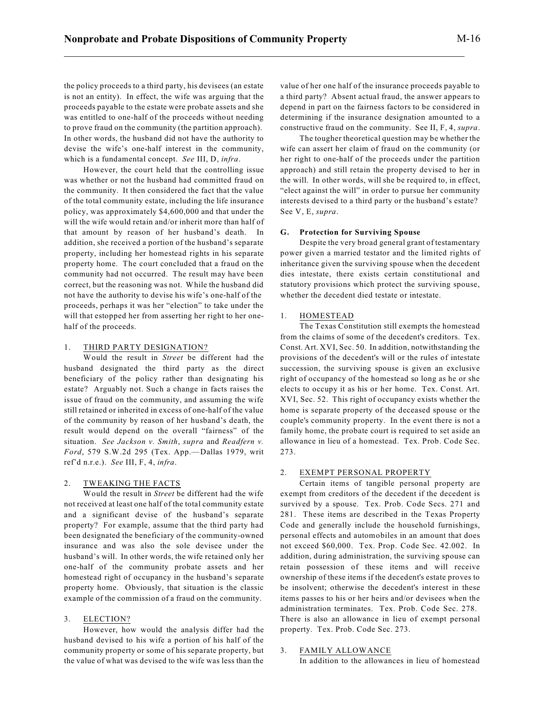the policy proceeds to a third party, his devisees (an estate is not an entity). In effect, the wife was arguing that the proceeds payable to the estate were probate assets and she was entitled to one-half of the proceeds without needing to prove fraud on the community (the partition approach). In other words, the husband did not have the authority to devise the wife's one-half interest in the community, which is a fundamental concept. *See* III, D, *infra*.

However, the court held that the controlling issue was whether or not the husband had committed fraud on the community. It then considered the fact that the value of the total community estate, including the life insurance policy, was approximately \$4,600,000 and that under the will the wife would retain and/or inherit more than half of that amount by reason of her husband's death. In addition, she received a portion of the husband's separate property, including her homestead rights in his separate property home. The court concluded that a fraud on the community had not occurred. The result may have been correct, but the reasoning was not. While the husband did not have the authority to devise his wife's one-half of the proceeds, perhaps it was her "election" to take under the will that estopped her from asserting her right to her onehalf of the proceeds.

## 1. THIRD PARTY DESIGNATION?

Would the result in *Street* be different had the husband designated the third party as the direct beneficiary of the policy rather than designating his estate? Arguably not. Such a change in facts raises the issue of fraud on the community, and assuming the wife still retained or inherited in excess of one-half of the value of the community by reason of her husband's death, the result would depend on the overall "fairness" of the situation. *See Jackson v. Smith*, *supra* and *Readfern v. Ford*, 579 S.W.2d 295 (Tex. App.—Dallas 1979, writ ref'd n.r.e.). *See* III, F, 4, *infra*.

## 2. TWEAKING THE FACTS

Would the result in *Street* be different had the wife not received at least one half of the total community estate and a significant devise of the husband's separate property? For example, assume that the third party had been designated the beneficiary of the community-owned insurance and was also the sole devisee under the husband's will. In other words, the wife retained only her one-half of the community probate assets and her homestead right of occupancy in the husband's separate property home. Obviously, that situation is the classic example of the commission of a fraud on the community.

## 3. ELECTION?

However, how would the analysis differ had the husband devised to his wife a portion of his half of the community property or some of his separate property, but the value of what was devised to the wife was less than the value of her one half of the insurance proceeds payable to a third party? Absent actual fraud, the answer appears to depend in part on the fairness factors to be considered in determining if the insurance designation amounted to a constructive fraud on the community. See II, F, 4, *supra*.

The tougher theoretical question may be whether the wife can assert her claim of fraud on the community (or her right to one-half of the proceeds under the partition approach) and still retain the property devised to her in the will. In other words, will she be required to, in effect, "elect against the will" in order to pursue her community interests devised to a third party or the husband's estate? See V, E, *supra*.

#### **G. Protection for Surviving Spouse**

Despite the very broad general grant of testamentary power given a married testator and the limited rights of inheritance given the surviving spouse when the decedent dies intestate, there exists certain constitutional and statutory provisions which protect the surviving spouse, whether the decedent died testate or intestate.

## 1. HOMESTEAD

The Texas Constitution still exempts the homestead from the claims of some of the decedent's creditors. Tex. Const. Art. XVI, Sec. 50. In addition, notwithstanding the provisions of the decedent's will or the rules of intestate succession, the surviving spouse is given an exclusive right of occupancy of the homestead so long as he or she elects to occupy it as his or her home. Tex. Const. Art. XVI, Sec. 52. This right of occupancy exists whether the home is separate property of the deceased spouse or the couple's community property. In the event there is not a family home, the probate court is required to set aside an allowance in lieu of a homestead. Tex. Prob. Code Sec. 273.

#### 2. EXEMPT PERSONAL PROPERTY

Certain items of tangible personal property are exempt from creditors of the decedent if the decedent is survived by a spouse. Tex. Prob. Code Secs. 271 and 281. These items are described in the Texas Property Code and generally include the household furnishings, personal effects and automobiles in an amount that does not exceed \$60,000. Tex. Prop. Code Sec. 42.002. In addition, during administration, the surviving spouse can retain possession of these items and will receive ownership of these items if the decedent's estate proves to be insolvent; otherwise the decedent's interest in these items passes to his or her heirs and/or devisees when the administration terminates. Tex. Prob. Code Sec. 278. There is also an allowance in lieu of exempt personal property. Tex. Prob. Code Sec. 273.

#### 3. FAMILY ALLOWANCE

In addition to the allowances in lieu of homestead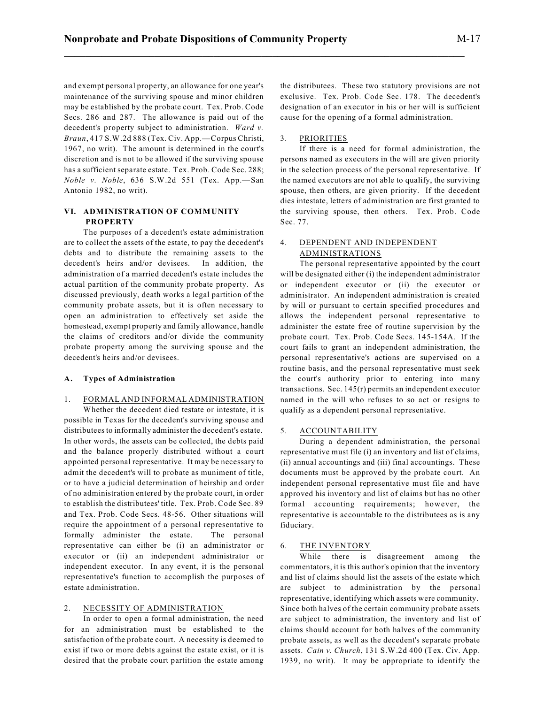and exempt personal property, an allowance for one year's maintenance of the surviving spouse and minor children may be established by the probate court. Tex. Prob. Code Secs. 286 and 287. The allowance is paid out of the decedent's property subject to administration. *Ward v. Braun*, 417 S.W.2d 888 (Tex. Civ. App.—Corpus Christi, 1967, no writ). The amount is determined in the court's discretion and is not to be allowed if the surviving spouse has a sufficient separate estate. Tex. Prob. Code Sec. 288; *Noble v. Noble*, 636 S.W.2d 551 (Tex. App.—San Antonio 1982, no writ).

# **VI. ADMINISTRATION OF COMMUNITY PROPERTY**

The purposes of a decedent's estate administration are to collect the assets of the estate, to pay the decedent's debts and to distribute the remaining assets to the decedent's heirs and/or devisees. In addition, the administration of a married decedent's estate includes the actual partition of the community probate property. As discussed previously, death works a legal partition of the community probate assets, but it is often necessary to open an administration to effectively set aside the homestead, exempt property and family allowance, handle the claims of creditors and/or divide the community probate property among the surviving spouse and the decedent's heirs and/or devisees.

## **A. Types of Administration**

# 1. FORMAL AND INFORMAL ADMINISTRATION

Whether the decedent died testate or intestate, it is possible in Texas for the decedent's surviving spouse and distributees to informally administer the decedent's estate. In other words, the assets can be collected, the debts paid and the balance properly distributed without a court appointed personal representative. It may be necessary to admit the decedent's will to probate as muniment of title, or to have a judicial determination of heirship and order of no administration entered by the probate court, in order to establish the distributees' title. Tex. Prob. Code Sec. 89 and Tex. Prob. Code Secs. 48-56. Other situations will require the appointment of a personal representative to formally administer the estate. The personal representative can either be (i) an administrator or executor or (ii) an independent administrator or independent executor. In any event, it is the personal representative's function to accomplish the purposes of estate administration.

# 2. NECESSITY OF ADMINISTRATION

In order to open a formal administration, the need for an administration must be established to the satisfaction of the probate court. A necessity is deemed to exist if two or more debts against the estate exist, or it is desired that the probate court partition the estate among the distributees. These two statutory provisions are not exclusive. Tex. Prob. Code Sec. 178. The decedent's designation of an executor in his or her will is sufficient cause for the opening of a formal administration.

#### 3. PRIORITIES

If there is a need for formal administration, the persons named as executors in the will are given priority in the selection process of the personal representative. If the named executors are not able to qualify, the surviving spouse, then others, are given priority. If the decedent dies intestate, letters of administration are first granted to the surviving spouse, then others. Tex. Prob. Code Sec. 77.

# 4. DEPENDENT AND INDEPENDENT ADMINISTRATIONS

The personal representative appointed by the court will be designated either (i) the independent administrator or independent executor or (ii) the executor or administrator. An independent administration is created by will or pursuant to certain specified procedures and allows the independent personal representative to administer the estate free of routine supervision by the probate court. Tex. Prob. Code Secs. 145-154A. If the court fails to grant an independent administration, the personal representative's actions are supervised on a routine basis, and the personal representative must seek the court's authority prior to entering into many transactions. Sec. 145(r) permits an independent executor named in the will who refuses to so act or resigns to qualify as a dependent personal representative.

## 5. ACCOUNTABILITY

During a dependent administration, the personal representative must file (i) an inventory and list of claims, (ii) annual accountings and (iii) final accountings. These documents must be approved by the probate court. An independent personal representative must file and have approved his inventory and list of claims but has no other formal accounting requirements; however, the representative is accountable to the distributees as is any fiduciary.

#### 6. THE INVENTORY

While there is disagreement among the commentators, it is this author's opinion that the inventory and list of claims should list the assets of the estate which are subject to administration by the personal representative, identifying which assets were community. Since both halves of the certain community probate assets are subject to administration, the inventory and list of claims should account for both halves of the community probate assets, as well as the decedent's separate probate assets. *Cain v. Church*, 131 S.W.2d 400 (Tex. Civ. App. 1939, no writ). It may be appropriate to identify the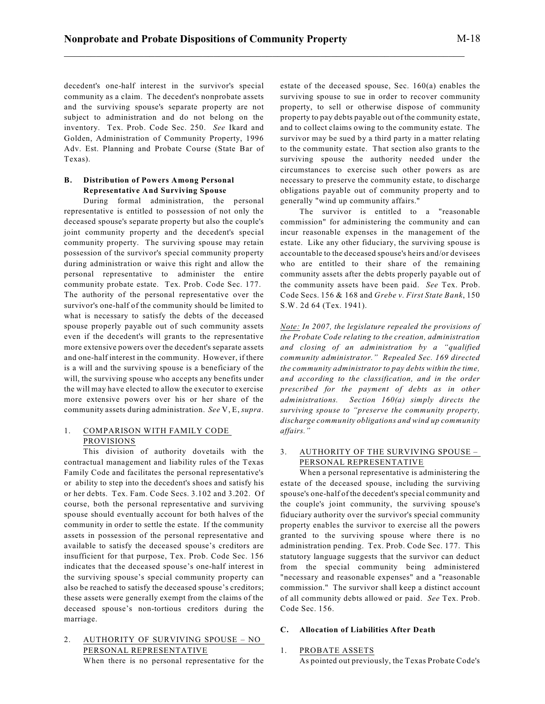decedent's one-half interest in the survivor's special community as a claim. The decedent's nonprobate assets and the surviving spouse's separate property are not subject to administration and do not belong on the inventory. Tex. Prob. Code Sec. 250. *See* Ikard and Golden, Administration of Community Property, 1996 Adv. Est. Planning and Probate Course (State Bar of Texas).

# **B. Distribution of Powers Among Personal Representative And Surviving Spouse**

During formal administration, the personal representative is entitled to possession of not only the deceased spouse's separate property but also the couple's joint community property and the decedent's special community property. The surviving spouse may retain possession of the survivor's special community property during administration or waive this right and allow the personal representative to administer the entire community probate estate. Tex. Prob. Code Sec. 177. The authority of the personal representative over the survivor's one-half of the community should be limited to what is necessary to satisfy the debts of the deceased spouse properly payable out of such community assets even if the decedent's will grants to the representative more extensive powers over the decedent's separate assets and one-half interest in the community. However, if there is a will and the surviving spouse is a beneficiary of the will, the surviving spouse who accepts any benefits under the will may have elected to allow the executor to exercise more extensive powers over his or her share of the community assets during administration. *See* V, E, *supra*.

# 1. COMPARISON WITH FAMILY CODE PROVISIONS

This division of authority dovetails with the contractual management and liability rules of the Texas Family Code and facilitates the personal representative's or ability to step into the decedent's shoes and satisfy his or her debts. Tex. Fam. Code Secs. 3.102 and 3.202. Of course, both the personal representative and surviving spouse should eventually account for both halves of the community in order to settle the estate. If the community assets in possession of the personal representative and available to satisfy the deceased spouse's creditors are insufficient for that purpose, Tex. Prob. Code Sec. 156 indicates that the deceased spouse's one-half interest in the surviving spouse's special community property can also be reached to satisfy the deceased spouse's creditors; these assets were generally exempt from the claims of the deceased spouse's non-tortious creditors during the marriage.

# 2. AUTHORITY OF SURVIVING SPOUSE – NO PERSONAL REPRESENTATIVE

When there is no personal representative for the

estate of the deceased spouse, Sec. 160(a) enables the surviving spouse to sue in order to recover community property, to sell or otherwise dispose of community property to pay debts payable out of the community estate, and to collect claims owing to the community estate. The survivor may be sued by a third party in a matter relating to the community estate. That section also grants to the surviving spouse the authority needed under the circumstances to exercise such other powers as are necessary to preserve the community estate, to discharge obligations payable out of community property and to generally "wind up community affairs."

The survivor is entitled to a "reasonable commission" for administering the community and can incur reasonable expenses in the management of the estate. Like any other fiduciary, the surviving spouse is accountable to the deceased spouse's heirs and/or devisees who are entitled to their share of the remaining community assets after the debts properly payable out of the community assets have been paid. *See* Tex. Prob. Code Secs. 156 & 168 and *Grebe v. First State Bank*, 150 S.W. 2d 64 (Tex. 1941).

*Note: In 2007, the legislature repealed the provisions of the Probate Code relating to the creation, administration and closing of an administration by a "qualified community administrator." Repealed Sec. 169 directed the community administrator to pay debts within the time, and according to the classification, and in the order prescribed for the payment of debts as in other administrations. Section 160(a) simply directs the surviving spouse to "preserve the community property, discharge community obligations and wind up community affairs."*

# 3. AUTHORITY OF THE SURVIVING SPOUSE – PERSONAL REPRESENTATIVE

When a personal representative is administering the estate of the deceased spouse, including the surviving spouse's one-half of the decedent's special community and the couple's joint community, the surviving spouse's fiduciary authority over the survivor's special community property enables the survivor to exercise all the powers granted to the surviving spouse where there is no administration pending. Tex. Prob. Code Sec. 177. This statutory language suggests that the survivor can deduct from the special community being administered "necessary and reasonable expenses" and a "reasonable commission." The survivor shall keep a distinct account of all community debts allowed or paid. *See* Tex. Prob. Code Sec. 156.

# **C. Allocation of Liabilities After Death**

## 1. PROBATE ASSETS

As pointed out previously, the Texas Probate Code's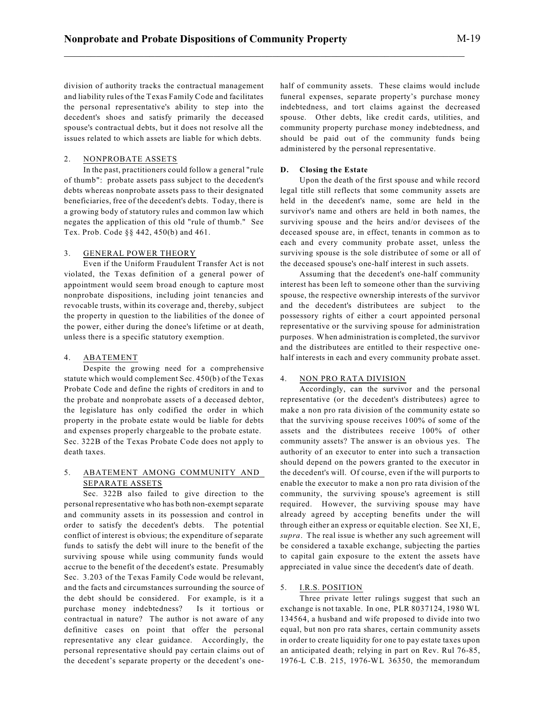division of authority tracks the contractual management and liability rules of the Texas Family Code and facilitates the personal representative's ability to step into the decedent's shoes and satisfy primarily the deceased spouse's contractual debts, but it does not resolve all the issues related to which assets are liable for which debts.

# 2. NONPROBATE ASSETS

In the past, practitioners could follow a general "rule of thumb": probate assets pass subject to the decedent's debts whereas nonprobate assets pass to their designated beneficiaries, free of the decedent's debts. Today, there is a growing body of statutory rules and common law which negates the application of this old "rule of thumb." See Tex. Prob. Code §§ 442, 450(b) and 461.

# 3. GENERAL POWER THEORY

Even if the Uniform Fraudulent Transfer Act is not violated, the Texas definition of a general power of appointment would seem broad enough to capture most nonprobate dispositions, including joint tenancies and revocable trusts, within its coverage and, thereby, subject the property in question to the liabilities of the donee of the power, either during the donee's lifetime or at death, unless there is a specific statutory exemption.

# 4. ABATEMENT

Despite the growing need for a comprehensive statute which would complement Sec. 450(b) of the Texas Probate Code and define the rights of creditors in and to the probate and nonprobate assets of a deceased debtor, the legislature has only codified the order in which property in the probate estate would be liable for debts and expenses properly chargeable to the probate estate. Sec. 322B of the Texas Probate Code does not apply to death taxes.

# 5. ABATEMENT AMONG COMMUNITY AND SEPARATE ASSETS

Sec. 322B also failed to give direction to the personal representative who has both non-exempt separate and community assets in its possession and control in order to satisfy the decedent's debts. The potential conflict of interest is obvious; the expenditure of separate funds to satisfy the debt will inure to the benefit of the surviving spouse while using community funds would accrue to the benefit of the decedent's estate. Presumably Sec. 3.203 of the Texas Family Code would be relevant, and the facts and circumstances surrounding the source of the debt should be considered. For example, is it a purchase money indebtedness? Is it tortious or contractual in nature? The author is not aware of any definitive cases on point that offer the personal representative any clear guidance. Accordingly, the personal representative should pay certain claims out of the decedent's separate property or the decedent's onehalf of community assets. These claims would include funeral expenses, separate property's purchase money indebtedness, and tort claims against the decreased spouse. Other debts, like credit cards, utilities, and community property purchase money indebtedness, and should be paid out of the community funds being administered by the personal representative.

# **D. Closing the Estate**

Upon the death of the first spouse and while record legal title still reflects that some community assets are held in the decedent's name, some are held in the survivor's name and others are held in both names, the surviving spouse and the heirs and/or devisees of the deceased spouse are, in effect, tenants in common as to each and every community probate asset, unless the surviving spouse is the sole distributee of some or all of the deceased spouse's one-half interest in such assets.

Assuming that the decedent's one-half community interest has been left to someone other than the surviving spouse, the respective ownership interests of the survivor and the decedent's distributees are subject to the possessory rights of either a court appointed personal representative or the surviving spouse for administration purposes. When administration is completed, the survivor and the distributees are entitled to their respective onehalf interests in each and every community probate asset.

# 4. NON PRO RATA DIVISION

Accordingly, can the survivor and the personal representative (or the decedent's distributees) agree to make a non pro rata division of the community estate so that the surviving spouse receives 100% of some of the assets and the distributees receive 100% of other community assets? The answer is an obvious yes. The authority of an executor to enter into such a transaction should depend on the powers granted to the executor in the decedent's will. Of course, even if the will purports to enable the executor to make a non pro rata division of the community, the surviving spouse's agreement is still required. However, the surviving spouse may have already agreed by accepting benefits under the will through either an express or equitable election. See XI, E, *supra*. The real issue is whether any such agreement will be considered a taxable exchange, subjecting the parties to capital gain exposure to the extent the assets have appreciated in value since the decedent's date of death.

# 5. I.R.S. POSITION

Three private letter rulings suggest that such an exchange is not taxable. In one, PLR 8037124, 1980 WL 134564, a husband and wife proposed to divide into two equal, but non pro rata shares, certain community assets in order to create liquidity for one to pay estate taxes upon an anticipated death; relying in part on Rev. Rul 76-85, 1976-L C.B. 215, 1976-WL 36350, the memorandum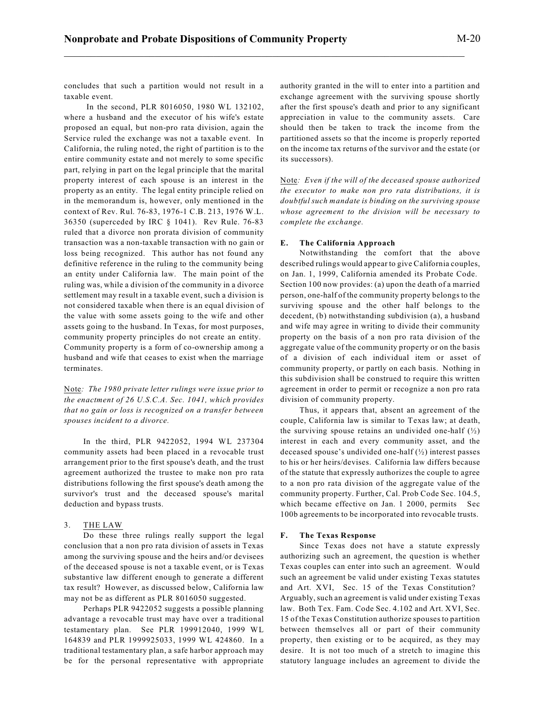concludes that such a partition would not result in a taxable event.

In the second, PLR 8016050, 1980 WL 132102, where a husband and the executor of his wife's estate proposed an equal, but non-pro rata division, again the Service ruled the exchange was not a taxable event. In California, the ruling noted, the right of partition is to the entire community estate and not merely to some specific part, relying in part on the legal principle that the marital property interest of each spouse is an interest in the property as an entity. The legal entity principle relied on in the memorandum is, however, only mentioned in the context of Rev. Rul. 76-83, 1976-1 C.B. 213, 1976 W.L. 36350 (superceded by IRC § 1041). Rev Rule. 76-83 ruled that a divorce non prorata division of community transaction was a non-taxable transaction with no gain or loss being recognized. This author has not found any definitive reference in the ruling to the community being an entity under California law. The main point of the ruling was, while a division of the community in a divorce settlement may result in a taxable event, such a division is not considered taxable when there is an equal division of the value with some assets going to the wife and other assets going to the husband. In Texas, for most purposes, community property principles do not create an entity. Community property is a form of co-ownership among a husband and wife that ceases to exist when the marriage terminates.

Note*: The 1980 private letter rulings were issue prior to the enactment of 26 U.S.C.A. Sec. 1041, which provides that no gain or loss is recognized on a transfer between spouses incident to a divorce.*

In the third, PLR 9422052, 1994 WL 237304 community assets had been placed in a revocable trust arrangement prior to the first spouse's death, and the trust agreement authorized the trustee to make non pro rata distributions following the first spouse's death among the survivor's trust and the deceased spouse's marital deduction and bypass trusts.

## 3. THE LAW

Do these three rulings really support the legal conclusion that a non pro rata division of assets in Texas among the surviving spouse and the heirs and/or devisees of the deceased spouse is not a taxable event, or is Texas substantive law different enough to generate a different tax result? However, as discussed below, California law may not be as different as PLR 8016050 suggested.

Perhaps PLR 9422052 suggests a possible planning advantage a revocable trust may have over a traditional testamentary plan. See PLR 199912040, 1999 WL 164839 and PLR 1999925033, 1999 WL 424860. In a traditional testamentary plan, a safe harbor approach may be for the personal representative with appropriate authority granted in the will to enter into a partition and exchange agreement with the surviving spouse shortly after the first spouse's death and prior to any significant appreciation in value to the community assets. Care should then be taken to track the income from the partitioned assets so that the income is properly reported on the income tax returns of the survivor and the estate (or its successors).

Note*: Even if the will of the deceased spouse authorized the executor to make non pro rata distributions, it is doubtful such mandate is binding on the surviving spouse whose agreement to the division will be necessary to complete the exchange.*

#### **E. The California Approach**

Notwithstanding the comfort that the above described rulings would appear to give California couples, on Jan. 1, 1999, California amended its Probate Code. Section 100 now provides: (a) upon the death of a married person, one-half of the community property belongs to the surviving spouse and the other half belongs to the decedent, (b) notwithstanding subdivision (a), a husband and wife may agree in writing to divide their community property on the basis of a non pro rata division of the aggregate value of the community property or on the basis of a division of each individual item or asset of community property, or partly on each basis. Nothing in this subdivision shall be construed to require this written agreement in order to permit or recognize a non pro rata division of community property.

Thus, it appears that, absent an agreement of the couple, California law is similar to Texas law; at death, the surviving spouse retains an undivided one-half  $\binom{1}{2}$ interest in each and every community asset, and the deceased spouse's undivided one-half  $(\frac{1}{2})$  interest passes to his or her heirs/devises. California law differs because of the statute that expressly authorizes the couple to agree to a non pro rata division of the aggregate value of the community property. Further, Cal. Prob Code Sec. 104.5, which became effective on Jan. 1 2000, permits Sec 100b agreements to be incorporated into revocable trusts.

#### **F. The Texas Response**

Since Texas does not have a statute expressly authorizing such an agreement, the question is whether Texas couples can enter into such an agreement. Would such an agreement be valid under existing Texas statutes and Art. XVI, Sec. 15 of the Texas Constitution? Arguably,such an agreement is valid under existing Texas law. Both Tex. Fam. Code Sec. 4.102 and Art. XVI, Sec. 15 of the Texas Constitution authorize spouses to partition between themselves all or part of their community property, then existing or to be acquired, as they may desire. It is not too much of a stretch to imagine this statutory language includes an agreement to divide the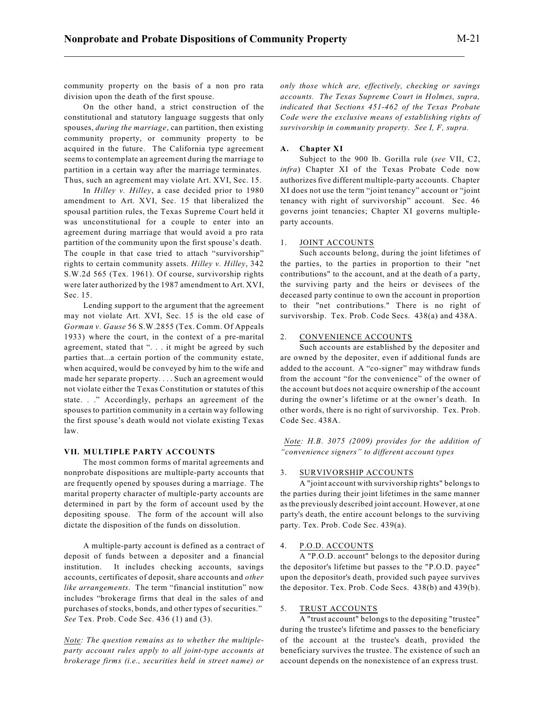community property on the basis of a non pro rata division upon the death of the first spouse.

On the other hand, a strict construction of the constitutional and statutory language suggests that only spouses, *during the marriage*, can partition, then existing community property, or community property to be acquired in the future. The California type agreement seems to contemplate an agreement during the marriage to partition in a certain way after the marriage terminates. Thus, such an agreement may violate Art. XVI, Sec. 15.

In *Hilley v. Hilley*, a case decided prior to 1980 amendment to Art. XVI, Sec. 15 that liberalized the spousal partition rules, the Texas Supreme Court held it was unconstitutional for a couple to enter into an agreement during marriage that would avoid a pro rata partition of the community upon the first spouse's death. The couple in that case tried to attach "survivorship" rights to certain community assets. *Hilley v. Hilley*, 342 S.W.2d 565 (Tex. 1961). Of course, survivorship rights were later authorized by the 1987 amendment to Art. XVI, Sec. 15.

Lending support to the argument that the agreement may not violate Art. XVI, Sec. 15 is the old case of *Gorman v. Gause* 56 S.W.2855 (Tex. Comm. Of Appeals 1933) where the court, in the context of a pre-marital agreement, stated that ". . . it might be agreed by such parties that...a certain portion of the community estate, when acquired, would be conveyed by him to the wife and made her separate property. . . . Such an agreement would not violate either the Texas Constitution or statutes of this state. . ." Accordingly, perhaps an agreement of the spouses to partition community in a certain way following the first spouse's death would not violate existing Texas law.

## **VII. MULTIPLE PARTY ACCOUNTS**

The most common forms of marital agreements and nonprobate dispositions are multiple-party accounts that are frequently opened by spouses during a marriage. The marital property character of multiple-party accounts are determined in part by the form of account used by the depositing spouse. The form of the account will also dictate the disposition of the funds on dissolution.

A multiple-party account is defined as a contract of deposit of funds between a depositer and a financial institution. It includes checking accounts, savings accounts, certificates of deposit, share accounts and *other like arrangements*. The term "financial institution" now includes "brokerage firms that deal in the sales of and purchases of stocks, bonds, and other types of securities." *See* Tex. Prob. Code Sec. 436 (1) and (3).

*Note: The question remains as to whether the multipleparty account rules apply to all joint-type accounts at brokerage firms (i.e., securities held in street name) or* *only those which are, effectively, checking or savings accounts. The Texas Supreme Court in Holmes, supra, indicated that Sections 451-462 of the Texas Probate Code were the exclusive means of establishing rights of survivorship in community property. See I, F, supra.*

#### **A. Chapter XI**

Subject to the 900 lb. Gorilla rule (*see* VII, C2, *infra*) Chapter XI of the Texas Probate Code now authorizes five different multiple-party accounts. Chapter XI does not use the term "joint tenancy" account or "joint tenancy with right of survivorship" account. Sec. 46 governs joint tenancies; Chapter XI governs multipleparty accounts.

## 1. JOINT ACCOUNTS

Such accounts belong, during the joint lifetimes of the parties, to the parties in proportion to their "net contributions" to the account, and at the death of a party, the surviving party and the heirs or devisees of the deceased party continue to own the account in proportion to their "net contributions." There is no right of survivorship. Tex. Prob. Code Secs. 438(a) and 438A.

## 2. CONVENIENCE ACCOUNTS

Such accounts are established by the depositer and are owned by the depositer, even if additional funds are added to the account. A "co-signer" may withdraw funds from the account "for the convenience" of the owner of the account but does not acquire ownership of the account during the owner's lifetime or at the owner's death. In other words, there is no right of survivorship. Tex. Prob. Code Sec. 438A.

*Note: H.B. 3075 (2009) provides for the addition of "convenience signers" to different account types*

#### 3. SURVIVORSHIP ACCOUNTS

A "joint account with survivorship rights" belongs to the parties during their joint lifetimes in the same manner as the previously described joint account. However, at one party's death, the entire account belongs to the surviving party. Tex. Prob. Code Sec. 439(a).

#### 4. P.O.D. ACCOUNTS

A "P.O.D. account" belongs to the depositor during the depositor's lifetime but passes to the "P.O.D. payee" upon the depositor's death, provided such payee survives the depositor. Tex. Prob. Code Secs. 438(b) and 439(b).

#### 5. TRUST ACCOUNTS

A "trust account" belongs to the depositing "trustee" during the trustee's lifetime and passes to the beneficiary of the account at the trustee's death, provided the beneficiary survives the trustee. The existence of such an account depends on the nonexistence of an express trust.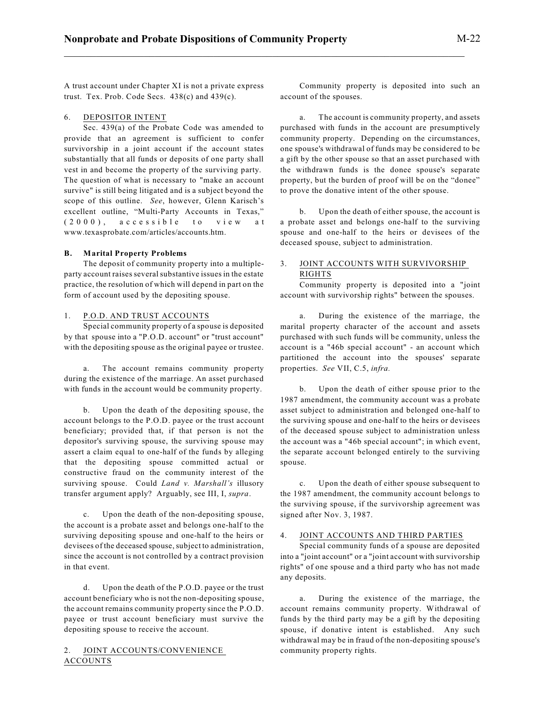A trust account under Chapter XI is not a private express trust. Tex. Prob. Code Secs. 438(c) and 439(c).

# 6. DEPOSITOR INTENT

Sec. 439(a) of the Probate Code was amended to provide that an agreement is sufficient to confer survivorship in a joint account if the account states substantially that all funds or deposits of one party shall vest in and become the property of the surviving party. The question of what is necessary to "make an account survive" is still being litigated and is a subject beyond the scope of this outline. *See*, however, Glenn Karisch's excellent outline, "Multi-Party Accounts in Texas,"  $(2000)$ ,  $accessible$  to view at www.texasprobate.com/articles/accounts.htm.

#### **B. Marital Property Problems**

The deposit of community property into a multipleparty account raises several substantive issues in the estate practice, the resolution of which will depend in part on the form of account used by the depositing spouse.

#### 1. P.O.D. AND TRUST ACCOUNTS

Special community property of a spouse is deposited by that spouse into a "P.O.D. account" or "trust account" with the depositing spouse as the original payee or trustee.

a. The account remains community property during the existence of the marriage. An asset purchased with funds in the account would be community property.

b. Upon the death of the depositing spouse, the account belongs to the P.O.D. payee or the trust account beneficiary; provided that, if that person is not the depositor's surviving spouse, the surviving spouse may assert a claim equal to one-half of the funds by alleging that the depositing spouse committed actual or constructive fraud on the community interest of the surviving spouse. Could *Land v. Marshall's* illusory transfer argument apply? Arguably, see III, I, *supra*.

c. Upon the death of the non-depositing spouse, the account is a probate asset and belongs one-half to the surviving depositing spouse and one-half to the heirs or devisees of the deceased spouse, subject to administration, since the account is not controlled by a contract provision in that event.

d. Upon the death of the P.O.D. payee or the trust account beneficiary who is not the non-depositing spouse, the account remains community property since the P.O.D. payee or trust account beneficiary must survive the depositing spouse to receive the account.

# JOINT ACCOUNTS/CONVENIENCE ACCOUNTS

Community property is deposited into such an account of the spouses.

a. The account is community property, and assets purchased with funds in the account are presumptively community property. Depending on the circumstances, one spouse's withdrawal of funds may be considered to be a gift by the other spouse so that an asset purchased with the withdrawn funds is the donee spouse's separate property, but the burden of proof will be on the "donee" to prove the donative intent of the other spouse.

b. Upon the death of either spouse, the account is a probate asset and belongs one-half to the surviving spouse and one-half to the heirs or devisees of the deceased spouse, subject to administration.

# 3. JOINT ACCOUNTS WITH SURVIVORSHIP RIGHTS

Community property is deposited into a "joint account with survivorship rights" between the spouses.

a. During the existence of the marriage, the marital property character of the account and assets purchased with such funds will be community, unless the account is a "46b special account" - an account which partitioned the account into the spouses' separate properties. *See* VII, C.5, *infra.*

b. Upon the death of either spouse prior to the 1987 amendment, the community account was a probate asset subject to administration and belonged one-half to the surviving spouse and one-half to the heirs or devisees of the deceased spouse subject to administration unless the account was a "46b special account"; in which event, the separate account belonged entirely to the surviving spouse.

c. Upon the death of either spouse subsequent to the 1987 amendment, the community account belongs to the surviving spouse, if the survivorship agreement was signed after Nov. 3, 1987.

#### 4. JOINT ACCOUNTS AND THIRD PARTIES

Special community funds of a spouse are deposited into a "joint account" or a "joint account with survivorship rights" of one spouse and a third party who has not made any deposits.

a. During the existence of the marriage, the account remains community property. Withdrawal of funds by the third party may be a gift by the depositing spouse, if donative intent is established. Any such withdrawal may be in fraud of the non-depositing spouse's community property rights.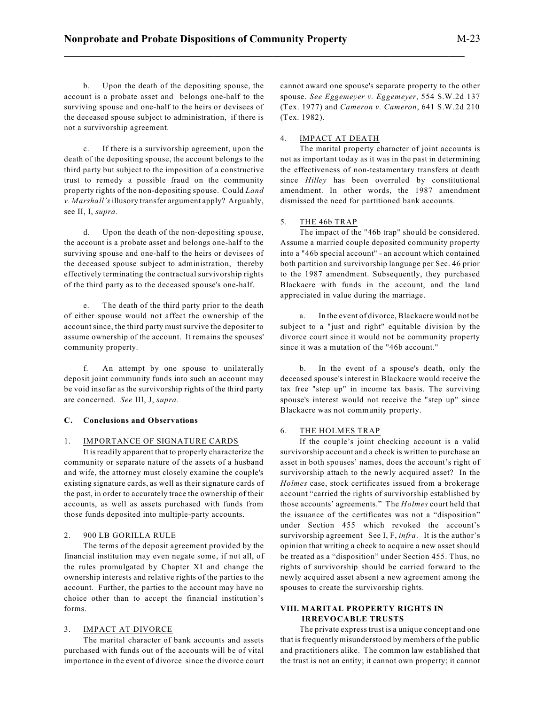b. Upon the death of the depositing spouse, the account is a probate asset and belongs one-half to the surviving spouse and one-half to the heirs or devisees of the deceased spouse subject to administration, if there is not a survivorship agreement.

c. If there is a survivorship agreement, upon the death of the depositing spouse, the account belongs to the third party but subject to the imposition of a constructive trust to remedy a possible fraud on the community property rights of the non-depositing spouse. Could *Land v. Marshall's* illusory transfer argument apply? Arguably, see II, I, *supra*.

d. Upon the death of the non-depositing spouse, the account is a probate asset and belongs one-half to the surviving spouse and one-half to the heirs or devisees of the deceased spouse subject to administration, thereby effectively terminating the contractual survivorship rights of the third party as to the deceased spouse's one-half.

e. The death of the third party prior to the death of either spouse would not affect the ownership of the account since, the third party must survive the depositer to assume ownership of the account. It remains the spouses' community property.

f. An attempt by one spouse to unilaterally deposit joint community funds into such an account may be void insofar as the survivorship rights of the third party are concerned. *See* III, J, *supra*.

# **C. Conclusions and Observations**

#### 1. IMPORTANCE OF SIGNATURE CARDS

It isreadily apparent that to properly characterize the community or separate nature of the assets of a husband and wife, the attorney must closely examine the couple's existing signature cards, as well as their signature cards of the past, in order to accurately trace the ownership of their accounts, as well as assets purchased with funds from those funds deposited into multiple-party accounts.

## 2. 900 LB GORILLA RULE

The terms of the deposit agreement provided by the financial institution may even negate some, if not all, of the rules promulgated by Chapter XI and change the ownership interests and relative rights of the parties to the account. Further, the parties to the account may have no choice other than to accept the financial institution's forms.

# 3. IMPACT AT DIVORCE

The marital character of bank accounts and assets purchased with funds out of the accounts will be of vital importance in the event of divorce since the divorce court cannot award one spouse's separate property to the other spouse. *See Eggemeyer v. Eggemeyer*, 554 S.W.2d 137 (Tex. 1977) and *Cameron v. Cameron*, 641 S.W.2d 210 (Tex. 1982).

## 4. IMPACT AT DEATH

The marital property character of joint accounts is not as important today as it was in the past in determining the effectiveness of non-testamentary transfers at death since *Hilley* has been overruled by constitutional amendment. In other words, the 1987 amendment dismissed the need for partitioned bank accounts.

#### 5. THE 46b TRAP

The impact of the "46b trap" should be considered. Assume a married couple deposited community property into a "46b special account" - an account which contained both partition and survivorship language per Sec. 46 prior to the 1987 amendment. Subsequently, they purchased Blackacre with funds in the account, and the land appreciated in value during the marriage.

a. In the event of divorce, Blackacre would not be subject to a "just and right" equitable division by the divorce court since it would not be community property since it was a mutation of the "46b account."

b. In the event of a spouse's death, only the deceased spouse's interest in Blackacre would receive the tax free "step up" in income tax basis. The surviving spouse's interest would not receive the "step up" since Blackacre was not community property.

## 6. THE HOLMES TRAP

If the couple's joint checking account is a valid survivorship account and a check is written to purchase an asset in both spouses' names, does the account's right of survivorship attach to the newly acquired asset? In the *Holmes* case, stock certificates issued from a brokerage account "carried the rights of survivorship established by those accounts' agreements." The *Holmes* court held that the issuance of the certificates was not a "disposition" under Section 455 which revoked the account's survivorship agreement See I, F, *infra*. It is the author's opinion that writing a check to acquire a new asset should be treated as a "disposition" under Section 455. Thus, no rights of survivorship should be carried forward to the newly acquired asset absent a new agreement among the spouses to create the survivorship rights.

# **VIII. MARITAL PROPERTY RIGHTS IN IRREVOCABLE TRUSTS**

The private express trust is a unique concept and one that is frequently misunderstood by members of the public and practitioners alike. The common law established that the trust is not an entity; it cannot own property; it cannot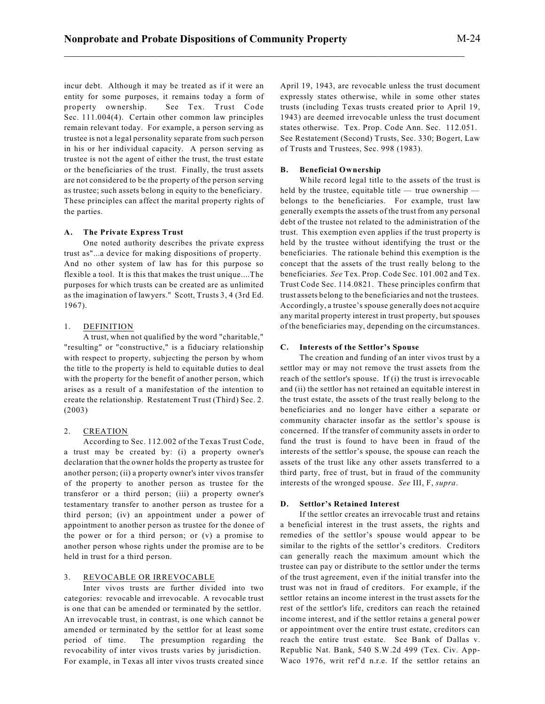incur debt. Although it may be treated as if it were an entity for some purposes, it remains today a form of property ownership. See Tex. Trust Code Sec. 111.004(4). Certain other common law principles remain relevant today. For example, a person serving as trustee is not a legal personality separate from such person in his or her individual capacity. A person serving as trustee is not the agent of either the trust, the trust estate or the beneficiaries of the trust. Finally, the trust assets are not considered to be the property of the person serving as trustee; such assets belong in equity to the beneficiary. These principles can affect the marital property rights of the parties.

## **A. The Private Express Trust**

One noted authority describes the private express trust as"...a device for making dispositions of property. And no other system of law has for this purpose so flexible a tool. It is this that makes the trust unique....The purposes for which trusts can be created are as unlimited as the imagination of lawyers." Scott, Trusts 3, 4 (3rd Ed. 1967).

## 1. DEFINITION

A trust, when not qualified by the word "charitable," "resulting" or "constructive," is a fiduciary relationship with respect to property, subjecting the person by whom the title to the property is held to equitable duties to deal with the property for the benefit of another person, which arises as a result of a manifestation of the intention to create the relationship. Restatement Trust (Third) Sec. 2. (2003)

#### 2. CREATION

According to Sec. 112.002 of the Texas Trust Code, a trust may be created by: (i) a property owner's declaration that the owner holds the property as trustee for another person; (ii) a property owner's inter vivos transfer of the property to another person as trustee for the transferor or a third person; (iii) a property owner's testamentary transfer to another person as trustee for a third person; (iv) an appointment under a power of appointment to another person as trustee for the donee of the power or for a third person; or (v) a promise to another person whose rights under the promise are to be held in trust for a third person.

# 3. REVOCABLE OR IRREVOCABLE

Inter vivos trusts are further divided into two categories: revocable and irrevocable. A revocable trust is one that can be amended or terminated by the settlor. An irrevocable trust, in contrast, is one which cannot be amended or terminated by the settlor for at least some period of time. The presumption regarding the revocability of inter vivos trusts varies by jurisdiction. For example, in Texas all inter vivos trusts created since April 19, 1943, are revocable unless the trust document expressly states otherwise, while in some other states trusts (including Texas trusts created prior to April 19, 1943) are deemed irrevocable unless the trust document states otherwise. Tex. Prop. Code Ann. Sec. 112.051. See Restatement (Second) Trusts, Sec. 330; Bogert, Law of Trusts and Trustees, Sec. 998 (1983).

# **B. Beneficial Ownership**

While record legal title to the assets of the trust is held by the trustee, equitable title — true ownership belongs to the beneficiaries. For example, trust law generally exempts the assets of the trust from any personal debt of the trustee not related to the administration of the trust. This exemption even applies if the trust property is held by the trustee without identifying the trust or the beneficiaries. The rationale behind this exemption is the concept that the assets of the trust really belong to the beneficiaries. *See* Tex. Prop. Code Sec. 101.002 and Tex. Trust Code Sec. 114.0821. These principles confirm that trust assets belong to the beneficiaries and not the trustees. Accordingly, a trustee's spouse generally does not acquire any marital property interest in trust property, but spouses of the beneficiaries may, depending on the circumstances.

# **C. Interests of the Settlor's Spouse**

The creation and funding of an inter vivos trust by a settlor may or may not remove the trust assets from the reach of the settlor's spouse. If (i) the trust is irrevocable and (ii) the settlor has not retained an equitable interest in the trust estate, the assets of the trust really belong to the beneficiaries and no longer have either a separate or community character insofar as the settlor's spouse is concerned. If the transfer of community assets in order to fund the trust is found to have been in fraud of the interests of the settlor's spouse, the spouse can reach the assets of the trust like any other assets transferred to a third party, free of trust, but in fraud of the community interests of the wronged spouse. *See* III, F, *supra*.

#### **D. Settlor's Retained Interest**

If the settlor creates an irrevocable trust and retains a beneficial interest in the trust assets, the rights and remedies of the settlor's spouse would appear to be similar to the rights of the settlor's creditors. Creditors can generally reach the maximum amount which the trustee can pay or distribute to the settlor under the terms of the trust agreement, even if the initial transfer into the trust was not in fraud of creditors. For example, if the settlor retains an income interest in the trust assets for the rest of the settlor's life, creditors can reach the retained income interest, and if the settlor retains a general power or appointment over the entire trust estate, creditors can reach the entire trust estate. See Bank of Dallas v. Republic Nat. Bank, 540 S.W.2d 499 (Tex. Civ. App-Waco 1976, writ ref'd n.r.e. If the settlor retains an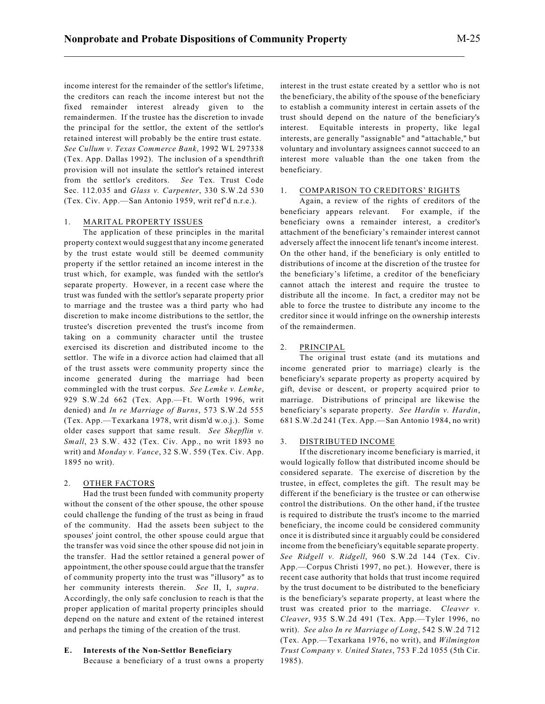income interest for the remainder of the settlor's lifetime, the creditors can reach the income interest but not the fixed remainder interest already given to the remaindermen. If the trustee has the discretion to invade the principal for the settlor, the extent of the settlor's retained interest will probably be the entire trust estate. *See Cullum v. Texas Commerce Bank*, 1992 WL 297338 (Tex. App. Dallas 1992). The inclusion of a spendthrift provision will not insulate the settlor's retained interest from the settlor's creditors. *See* Tex. Trust Code Sec. 112.035 and *Glass v. Carpenter*, 330 S.W.2d 530

(Tex. Civ. App.—San Antonio 1959, writ ref'd n.r.e.).

#### 1. MARITAL PROPERTY ISSUES

The application of these principles in the marital property context would suggest that any income generated by the trust estate would still be deemed community property if the settlor retained an income interest in the trust which, for example, was funded with the settlor's separate property. However, in a recent case where the trust was funded with the settlor's separate property prior to marriage and the trustee was a third party who had discretion to make income distributions to the settlor, the trustee's discretion prevented the trust's income from taking on a community character until the trustee exercised its discretion and distributed income to the settlor. The wife in a divorce action had claimed that all of the trust assets were community property since the income generated during the marriage had been commingled with the trust corpus. *See Lemke v. Lemke*, 929 S.W.2d 662 (Tex. App.—Ft. Worth 1996, writ denied) and *In re Marriage of Burns*, 573 S.W.2d 555 (Tex. App.—Texarkana 1978, writ dism'd w.o.j.). Some older cases support that same result. *See Shepflin v. Small*, 23 S.W. 432 (Tex. Civ. App., no writ 1893 no writ) and *Monday v. Vance*, 32 S.W. 559 (Tex. Civ. App. 1895 no writ).

## 2. OTHER FACTORS

Had the trust been funded with community property without the consent of the other spouse, the other spouse could challenge the funding of the trust as being in fraud of the community. Had the assets been subject to the spouses' joint control, the other spouse could argue that the transfer was void since the other spouse did not join in the transfer. Had the settlor retained a general power of appointment, the other spouse could argue that the transfer of community property into the trust was "illusory" as to her community interests therein. *See* II, I, *supra*. Accordingly, the only safe conclusion to reach is that the proper application of marital property principles should depend on the nature and extent of the retained interest and perhaps the timing of the creation of the trust.

# **E. Interests of the Non-Settlor Beneficiary**

Because a beneficiary of a trust owns a property

interest in the trust estate created by a settlor who is not the beneficiary, the ability of the spouse of the beneficiary to establish a community interest in certain assets of the trust should depend on the nature of the beneficiary's interest. Equitable interests in property, like legal interests, are generally "assignable" and "attachable," but voluntary and involuntary assignees cannot succeed to an interest more valuable than the one taken from the beneficiary.

# 1. COMPARISON TO CREDITORS' RIGHTS

Again, a review of the rights of creditors of the beneficiary appears relevant. For example, if the beneficiary owns a remainder interest, a creditor's attachment of the beneficiary's remainder interest cannot adversely affect the innocent life tenant's income interest. On the other hand, if the beneficiary is only entitled to distributions of income at the discretion of the trustee for the beneficiary's lifetime, a creditor of the beneficiary cannot attach the interest and require the trustee to distribute all the income. In fact, a creditor may not be able to force the trustee to distribute any income to the creditor since it would infringe on the ownership interests of the remaindermen.

#### 2. PRINCIPAL

The original trust estate (and its mutations and income generated prior to marriage) clearly is the beneficiary's separate property as property acquired by gift, devise or descent, or property acquired prior to marriage. Distributions of principal are likewise the beneficiary's separate property. *See Hardin v. Hardin*, 681 S.W.2d 241 (Tex. App.—San Antonio 1984, no writ)

## 3. DISTRIBUTED INCOME

If the discretionary income beneficiary is married, it would logically follow that distributed income should be considered separate. The exercise of discretion by the trustee, in effect, completes the gift. The result may be different if the beneficiary is the trustee or can otherwise control the distributions. On the other hand, if the trustee is required to distribute the trust's income to the married beneficiary, the income could be considered community once it is distributed since it arguably could be considered income from the beneficiary's equitable separate property. *See Ridgell v. Ridgell*, 960 S.W.2d 144 (Tex. Civ. App.—Corpus Christi 1997, no pet.). However, there is recent case authority that holds that trust income required by the trust document to be distributed to the beneficiary is the beneficiary's separate property, at least where the trust was created prior to the marriage. *Cleaver v. Cleaver*, 935 S.W.2d 491 (Tex. App.—Tyler 1996, no writ). *See also In re Marriage of Long*, 542 S.W.2d 712 (Tex. App.—Texarkana 1976, no writ), and *Wilmington Trust Company v. United States*, 753 F.2d 1055 (5th Cir. 1985).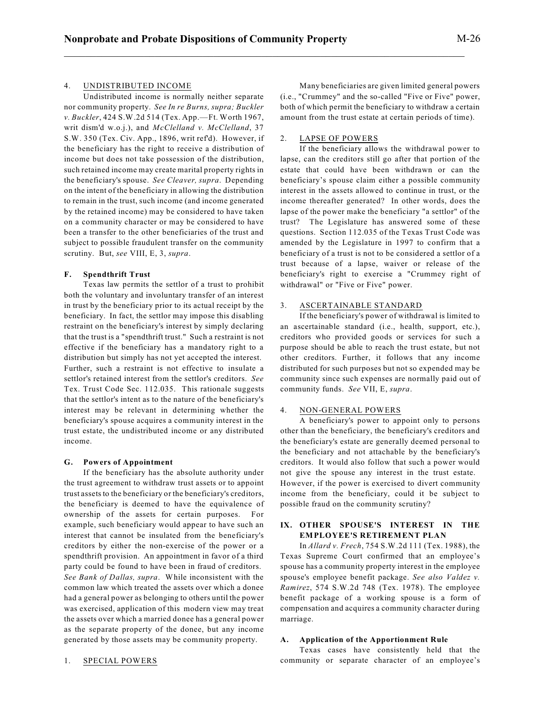# 4. UNDISTRIBUTED INCOME

Undistributed income is normally neither separate nor community property. *See In re Burns, supra; Buckler v. Buckler*, 424 S.W.2d 514 (Tex. App.—Ft. Worth 1967, writ dism'd w.o.j.), and *McClelland v. McClelland*, 37 S.W. 350 (Tex. Civ. App., 1896, writ ref'd). However, if the beneficiary has the right to receive a distribution of income but does not take possession of the distribution, such retained income may create marital property rights in the beneficiary's spouse. *See Cleaver, supra*. Depending on the intent of the beneficiary in allowing the distribution to remain in the trust, such income (and income generated by the retained income) may be considered to have taken on a community character or may be considered to have been a transfer to the other beneficiaries of the trust and subject to possible fraudulent transfer on the community scrutiny. But, *see* VIII, E, 3, *supra*.

## **F. Spendthrift Trust**

Texas law permits the settlor of a trust to prohibit both the voluntary and involuntary transfer of an interest in trust by the beneficiary prior to its actual receipt by the beneficiary. In fact, the settlor may impose this disabling restraint on the beneficiary's interest by simply declaring that the trust is a "spendthrift trust." Such a restraint is not effective if the beneficiary has a mandatory right to a distribution but simply has not yet accepted the interest. Further, such a restraint is not effective to insulate a settlor's retained interest from the settlor's creditors. *See* Tex. Trust Code Sec. 112.035. This rationale suggests that the settlor's intent as to the nature of the beneficiary's interest may be relevant in determining whether the beneficiary's spouse acquires a community interest in the trust estate, the undistributed income or any distributed income.

#### **G. Powers of Appointment**

If the beneficiary has the absolute authority under the trust agreement to withdraw trust assets or to appoint trust assets to the beneficiary or the beneficiary's creditors, the beneficiary is deemed to have the equivalence of ownership of the assets for certain purposes. For example, such beneficiary would appear to have such an interest that cannot be insulated from the beneficiary's creditors by either the non-exercise of the power or a spendthrift provision. An appointment in favor of a third party could be found to have been in fraud of creditors. *See Bank of Dallas, supra*. While inconsistent with the common law which treated the assets over which a donee had a general power as belonging to others until the power was exercised, application of this modern view may treat the assets over which a married donee has a general power as the separate property of the donee, but any income generated by those assets may be community property.

#### 1. SPECIAL POWERS

Many beneficiaries are given limited general powers (i.e., "Crummey" and the so-called "Five or Five" power, both of which permit the beneficiary to withdraw a certain amount from the trust estate at certain periods of time).

## 2. LAPSE OF POWERS

If the beneficiary allows the withdrawal power to lapse, can the creditors still go after that portion of the estate that could have been withdrawn or can the beneficiary's spouse claim either a possible community interest in the assets allowed to continue in trust, or the income thereafter generated? In other words, does the lapse of the power make the beneficiary "a settlor" of the trust? The Legislature has answered some of these questions. Section 112.035 of the Texas Trust Code was amended by the Legislature in 1997 to confirm that a beneficiary of a trust is not to be considered a settlor of a trust because of a lapse, waiver or release of the beneficiary's right to exercise a "Crummey right of withdrawal" or "Five or Five" power.

#### 3. ASCERTAINABLE STANDARD

If the beneficiary's power of withdrawal is limited to an ascertainable standard (i.e., health, support, etc.), creditors who provided goods or services for such a purpose should be able to reach the trust estate, but not other creditors. Further, it follows that any income distributed for such purposes but not so expended may be community since such expenses are normally paid out of community funds. *See* VII, E, *supra*.

# 4. NON-GENERAL POWERS

A beneficiary's power to appoint only to persons other than the beneficiary, the beneficiary's creditors and the beneficiary's estate are generally deemed personal to the beneficiary and not attachable by the beneficiary's creditors. It would also follow that such a power would not give the spouse any interest in the trust estate. However, if the power is exercised to divert community income from the beneficiary, could it be subject to possible fraud on the community scrutiny?

# **IX. OTHER SPOUSE'S INTEREST IN THE EMPLOYEE'S RETIREMENT PLAN**

In *Allard v. Frech*, 754 S.W.2d 111 (Tex. 1988), the Texas Supreme Court confirmed that an employee's spouse has a community property interest in the employee spouse's employee benefit package. *See also Valdez v. Ramirez*, 574 S.W.2d 748 (Tex. 1978). The employee benefit package of a working spouse is a form of compensation and acquires a community character during marriage.

# **A. Application of the Apportionment Rule**

Texas cases have consistently held that the community or separate character of an employee's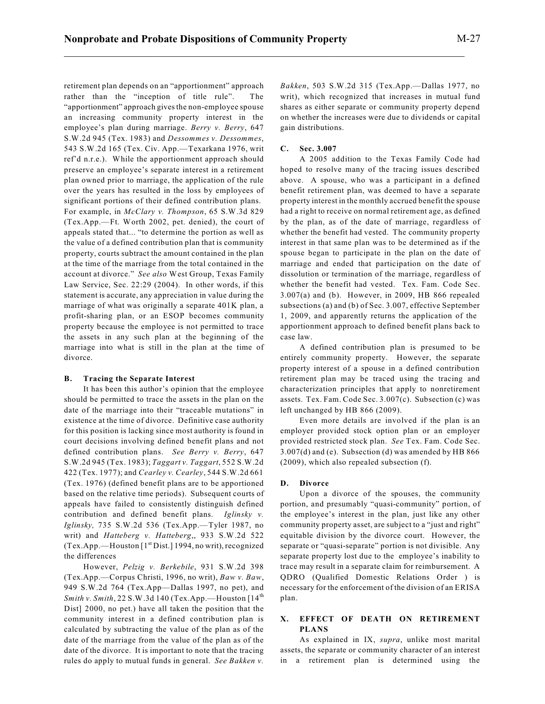retirement plan depends on an "apportionment" approach rather than the "inception of title rule". The "apportionment" approach givesthe non-employee spouse an increasing community property interest in the employee's plan during marriage. *Berry v. Berry*, 647 S.W.2d 945 (Tex. 1983) and *Dessommes v. Dessommes*, 543 S.W.2d 165 (Tex. Civ. App.—Texarkana 1976, writ ref'd n.r.e.). While the apportionment approach should preserve an employee's separate interest in a retirement plan owned prior to marriage, the application of the rule over the years has resulted in the loss by employees of significant portions of their defined contribution plans. For example, in *McClary v. Thompson*, 65 S.W.3d 829 (Tex.App.—Ft. Worth 2002, pet. denied), the court of appeals stated that... "to determine the portion as well as the value of a defined contribution plan that is community property, courts subtract the amount contained in the plan at the time of the marriage from the total contained in the account at divorce." *See also* West Group, Texas Family Law Service, Sec. 22:29 (2004). In other words, if this statement is accurate, any appreciation in value during the marriage of what was originally a separate 401K plan, a profit-sharing plan, or an ESOP becomes community property because the employee is not permitted to trace the assets in any such plan at the beginning of the marriage into what is still in the plan at the time of divorce.

#### **B. Tracing the Separate Interest**

It has been this author's opinion that the employee should be permitted to trace the assets in the plan on the date of the marriage into their "traceable mutations" in existence at the time of divorce. Definitive case authority for this position is lacking since most authority is found in court decisions involving defined benefit plans and not defined contribution plans. *See Berry v. Berry*, 647 S.W.2d 945 (Tex. 1983); *Taggart v. Taggart*, 552 S.W.2d 422 (Tex. 1977); and *Cearley v. Cearley*, 544 S.W.2d 661 (Tex. 1976) (defined benefit plans are to be apportioned based on the relative time periods). Subsequent courts of appeals have failed to consistently distinguish defined contribution and defined benefit plans. *Iglinsky v. Iglinsky,* 735 S.W.2d 536 (Tex.App.—Tyler 1987, no writ) and *Hatteberg v. Hatteberg*,, 933 S.W.2d 522 (Tex.App.—Houston [1<sup>st</sup> Dist.] 1994, no writ), recognized the differences

However, *Pelzig v. Berkebile*, 931 S.W.2d 398 (Tex.App.—Corpus Christi, 1996, no writ), *Baw v. Baw*, 949 S.W.2d 764 (Tex.App—Dallas 1997, no pet), and *Smith v. Smith*, 22 S.W.3d 140 (Tex.App.—Houston [14 th Dist] 2000, no pet.) have all taken the position that the community interest in a defined contribution plan is calculated by subtracting the value of the plan as of the date of the marriage from the value of the plan as of the date of the divorce. It is important to note that the tracing rules do apply to mutual funds in general. *See Bakken v.* *Bakken*, 503 S.W.2d 315 (Tex.App.—Dallas 1977, no writ), which recognized that increases in mutual fund shares as either separate or community property depend on whether the increases were due to dividends or capital gain distributions.

## **C. Sec. 3.007**

\_\_\_\_\_\_\_\_\_\_\_\_\_\_\_\_\_\_\_\_\_\_\_\_\_\_\_\_\_\_\_\_\_\_\_\_\_\_\_\_\_\_\_\_\_\_\_\_\_\_\_\_\_\_\_\_\_\_\_\_\_\_\_\_\_\_\_\_\_\_\_\_\_\_\_

A 2005 addition to the Texas Family Code had hoped to resolve many of the tracing issues described above. A spouse, who was a participant in a defined benefit retirement plan, was deemed to have a separate property interest in the monthly accrued benefit the spouse had a right to receive on normal retirement age, as defined by the plan, as of the date of marriage, regardless of whether the benefit had vested. The community property interest in that same plan was to be determined as if the spouse began to participate in the plan on the date of marriage and ended that participation on the date of dissolution or termination of the marriage, regardless of whether the benefit had vested. Tex. Fam. Code Sec. 3.007(a) and (b). However, in 2009, HB 866 repealed subsections (a) and (b) of Sec. 3.007, effective September 1, 2009, and apparently returns the application of the apportionment approach to defined benefit plans back to case law.

A defined contribution plan is presumed to be entirely community property. However, the separate property interest of a spouse in a defined contribution retirement plan may be traced using the tracing and characterization principles that apply to nonretirement assets. Tex. Fam. Code Sec. 3.007(c). Subsection (c) was left unchanged by HB 866 (2009).

Even more details are involved if the plan is an employer provided stock option plan or an employer provided restricted stock plan. *See* Tex. Fam. Code Sec. 3.007(d) and (e). Subsection (d) was amended by HB 866 (2009), which also repealed subsection (f).

#### **D. Divorce**

Upon a divorce of the spouses, the community portion, and presumably "quasi-community" portion, of the employee's interest in the plan, just like any other community property asset, are subject to a "just and right" equitable division by the divorce court. However, the separate or "quasi-separate" portion is not divisible. Any separate property lost due to the employee's inability to trace may result in a separate claim for reimbursement. A QDRO (Qualified Domestic Relations Order ) is necessary for the enforcement of the division of an ERISA plan.

# **X. EFFECT OF DEATH ON RETIREMENT PLANS**

As explained in IX, *supra*, unlike most marital assets, the separate or community character of an interest in a retirement plan is determined using the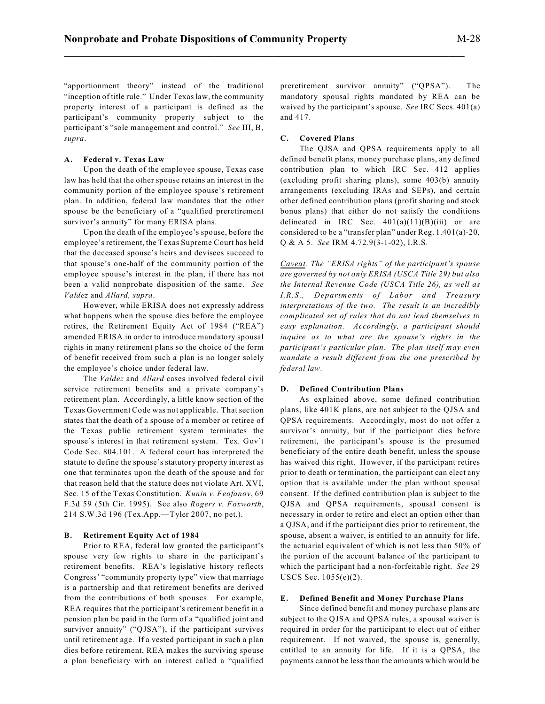"apportionment theory" instead of the traditional "inception of title rule." Under Texas law, the community property interest of a participant is defined as the participant's community property subject to the participant's "sole management and control." *See* III, B, *supra*.

## **A. Federal v. Texas Law**

Upon the death of the employee spouse, Texas case law has held that the other spouse retains an interest in the community portion of the employee spouse's retirement plan. In addition, federal law mandates that the other spouse be the beneficiary of a "qualified preretirement survivor's annuity" for many ERISA plans.

Upon the death of the employee's spouse, before the employee's retirement, the Texas Supreme Court has held that the deceased spouse's heirs and devisees succeed to that spouse's one-half of the community portion of the employee spouse's interest in the plan, if there has not been a valid nonprobate disposition of the same. *See Valdez* and *Allard, supra*.

However, while ERISA does not expressly address what happens when the spouse dies before the employee retires, the Retirement Equity Act of 1984 ("REA") amended ERISA in order to introduce mandatory spousal rights in many retirement plans so the choice of the form of benefit received from such a plan is no longer solely the employee's choice under federal law.

The *Valdez* and *Allard* cases involved federal civil service retirement benefits and a private company's retirement plan. Accordingly, a little know section of the Texas Government Code was not applicable. That section states that the death of a spouse of a member or retiree of the Texas public retirement system terminates the spouse's interest in that retirement system. Tex. Gov't Code Sec. 804.101. A federal court has interpreted the statute to define the spouse's statutory property interest as one that terminates upon the death of the spouse and for that reason held that the statute does not violate Art. XVI, Sec. 15 of the Texas Constitution. *Kunin v. Feofanov*, 69 F.3d 59 (5th Cir. 1995). See also *Rogers v. Foxworth*, 214 S.W.3d 196 (Tex.App.—Tyler 2007, no pet.).

#### **B. Retirement Equity Act of 1984**

Prior to REA, federal law granted the participant's spouse very few rights to share in the participant's retirement benefits. REA's legislative history reflects Congress' "community property type" view that marriage is a partnership and that retirement benefits are derived from the contributions of both spouses. For example, REA requires that the participant's retirement benefit in a pension plan be paid in the form of a "qualified joint and survivor annuity" ("QJSA"), if the participant survives until retirement age. If a vested participant in such a plan dies before retirement, REA makes the surviving spouse a plan beneficiary with an interest called a "qualified preretirement survivor annuity" ("QPSA"). The mandatory spousal rights mandated by REA can be waived by the participant's spouse. *See* IRC Secs. 401(a) and 417.

## **C. Covered Plans**

The QJSA and QPSA requirements apply to all defined benefit plans, money purchase plans, any defined contribution plan to which IRC Sec. 412 applies (excluding profit sharing plans), some 403(b) annuity arrangements (excluding IRAs and SEPs), and certain other defined contribution plans (profit sharing and stock bonus plans) that either do not satisfy the conditions delineated in IRC Sec.  $401(a)(11)(B)(iii)$  or are considered to be a "transfer plan" under Reg. 1.401(a)-20, Q & A 5. *See* IRM 4.72.9(3-1-02), I.R.S.

*Caveat: The "ERISA rights" of the participant's spouse are governed by not only ERISA (USCA Title 29) but also the Internal Revenue Code (USCA Title 26), as well as I.R.S., Departments of Labor and Treasury interpretations of the two. The result is an incredibly complicated set of rules that do not lend themselves to easy explanation. Accordingly, a participant should inquire as to what are the spouse's rights in the participant's particular plan. The plan itself may even mandate a result different from the one prescribed by federal law.*

#### **D. Defined Contribution Plans**

As explained above, some defined contribution plans, like 401K plans, are not subject to the QJSA and QPSA requirements. Accordingly, most do not offer a survivor's annuity, but if the participant dies before retirement, the participant's spouse is the presumed beneficiary of the entire death benefit, unless the spouse has waived this right. However, if the participant retires prior to death or termination, the participant can elect any option that is available under the plan without spousal consent. If the defined contribution plan is subject to the QJSA and QPSA requirements, spousal consent is necessary in order to retire and elect an option other than a QJSA, and if the participant dies prior to retirement, the spouse, absent a waiver, is entitled to an annuity for life, the actuarial equivalent of which is not less than 50% of the portion of the account balance of the participant to which the participant had a non-forfeitable right. *See* 29 USCS Sec. 1055(e)(2).

#### **E. Defined Benefit and Money Purchase Plans**

Since defined benefit and money purchase plans are subject to the QJSA and QPSA rules, a spousal waiver is required in order for the participant to elect out of either requirement. If not waived, the spouse is, generally, entitled to an annuity for life. If it is a QPSA, the payments cannot be less than the amounts which would be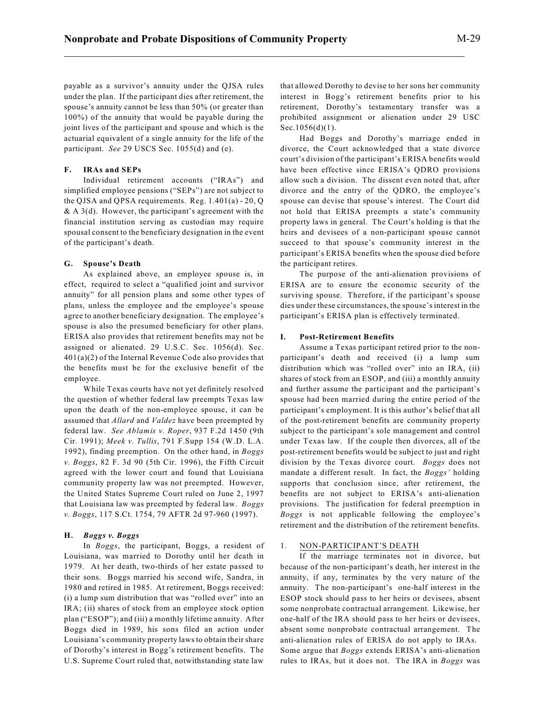payable as a survivor's annuity under the QJSA rules under the plan. If the participant dies after retirement, the spouse's annuity cannot be less than 50% (or greater than 100%) of the annuity that would be payable during the joint lives of the participant and spouse and which is the actuarial equivalent of a single annuity for the life of the participant. *See* 29 USCS Sec. 1055(d) and (e).

# **F. IRAs and SEPs**

Individual retirement accounts ("IRAs") and simplified employee pensions ("SEPs") are not subject to the QJSA and QPSA requirements. Reg. 1.401(a) - 20, Q  $& A 3(d)$ . However, the participant's agreement with the financial institution serving as custodian may require spousal consent to the beneficiary designation in the event of the participant's death.

# **G. Spouse's Death**

As explained above, an employee spouse is, in effect, required to select a "qualified joint and survivor annuity" for all pension plans and some other types of plans, unless the employee and the employee's spouse agree to another beneficiary designation. The employee's spouse is also the presumed beneficiary for other plans. ERISA also provides that retirement benefits may not be assigned or alienated. 29 U.S.C. Sec. 1056(d). Sec. 401(a)(2) of the Internal Revenue Code also provides that the benefits must be for the exclusive benefit of the employee.

While Texas courts have not yet definitely resolved the question of whether federal law preempts Texas law upon the death of the non-employee spouse, it can be assumed that *Allard* and *Valdez* have been preempted by federal law. *See Ablamis v. Roper*, 937 F.2d 1450 (9th Cir. 1991); *Meek v. Tullis*, 791 F.Supp 154 (W.D. L.A. 1992), finding preemption. On the other hand, in *Boggs v. Boggs*, 82 F. 3d 90 (5th Cir. 1996), the Fifth Circuit agreed with the lower court and found that Louisiana community property law was not preempted. However, the United States Supreme Court ruled on June 2, 1997 that Louisiana law was preempted by federal law. *Boggs v. Boggs*, 117 S.Ct. 1754, 79 AFTR 2d 97-960 (1997).

## **H.** *Boggs v. Boggs*

In *Boggs*, the participant, Boggs, a resident of Louisiana, was married to Dorothy until her death in 1979. At her death, two-thirds of her estate passed to their sons. Boggs married his second wife, Sandra, in 1980 and retired in 1985. At retirement, Boggs received: (i) a lump sum distribution that was "rolled over" into an IRA; (ii) shares of stock from an employee stock option plan ("ESOP"); and (iii) a monthly lifetime annuity. After Boggs died in 1989, his sons filed an action under Louisiana's community property lawsto obtain their share of Dorothy's interest in Bogg's retirement benefits. The U.S. Supreme Court ruled that, notwithstanding state law

that allowed Dorothy to devise to her sons her community interest in Bogg's retirement benefits prior to his retirement, Dorothy's testamentary transfer was a prohibited assignment or alienation under 29 USC Sec.1056(d)(1).

Had Boggs and Dorothy's marriage ended in divorce, the Court acknowledged that a state divorce court's division of the participant's ERISA benefits would have been effective since ERISA's QDRO provisions allow such a division. The dissent even noted that, after divorce and the entry of the QDRO, the employee's spouse can devise that spouse's interest. The Court did not hold that ERISA preempts a state's community property laws in general. The Court's holding is that the heirs and devisees of a non-participant spouse cannot succeed to that spouse's community interest in the participant's ERISA benefits when the spouse died before the participant retires.

The purpose of the anti-alienation provisions of ERISA are to ensure the economic security of the surviving spouse. Therefore, if the participant's spouse dies under these circumstances, the spouse's interest in the participant's ERISA plan is effectively terminated.

## **I. Post-Retirement Benefits**

Assume a Texas participant retired prior to the nonparticipant's death and received (i) a lump sum distribution which was "rolled over" into an IRA, (ii) shares of stock from an ESOP, and (iii) a monthly annuity and further assume the participant and the participant's spouse had been married during the entire period of the participant's employment. It is this author's belief that all of the post-retirement benefits are community property subject to the participant's sole management and control under Texas law. If the couple then divorces, all of the post-retirement benefits would be subject to just and right division by the Texas divorce court. *Boggs* does not mandate a different result. In fact, the *Boggs'* holding supports that conclusion since, after retirement, the benefits are not subject to ERISA's anti-alienation provisions. The justification for federal preemption in *Boggs* is not applicable following the employee's retirement and the distribution of the retirement benefits.

# 1. NON-PARTICIPANT'S DEATH

If the marriage terminates not in divorce, but because of the non-participant's death, her interest in the annuity, if any, terminates by the very nature of the annuity. The non-participant's one-half interest in the ESOP stock should pass to her heirs or devisees, absent some nonprobate contractual arrangement. Likewise, her one-half of the IRA should pass to her heirs or devisees, absent some nonprobate contractual arrangement. The anti-alienation rules of ERISA do not apply to IRAs. Some argue that *Boggs* extends ERISA's anti-alienation rules to IRAs, but it does not. The IRA in *Boggs* was